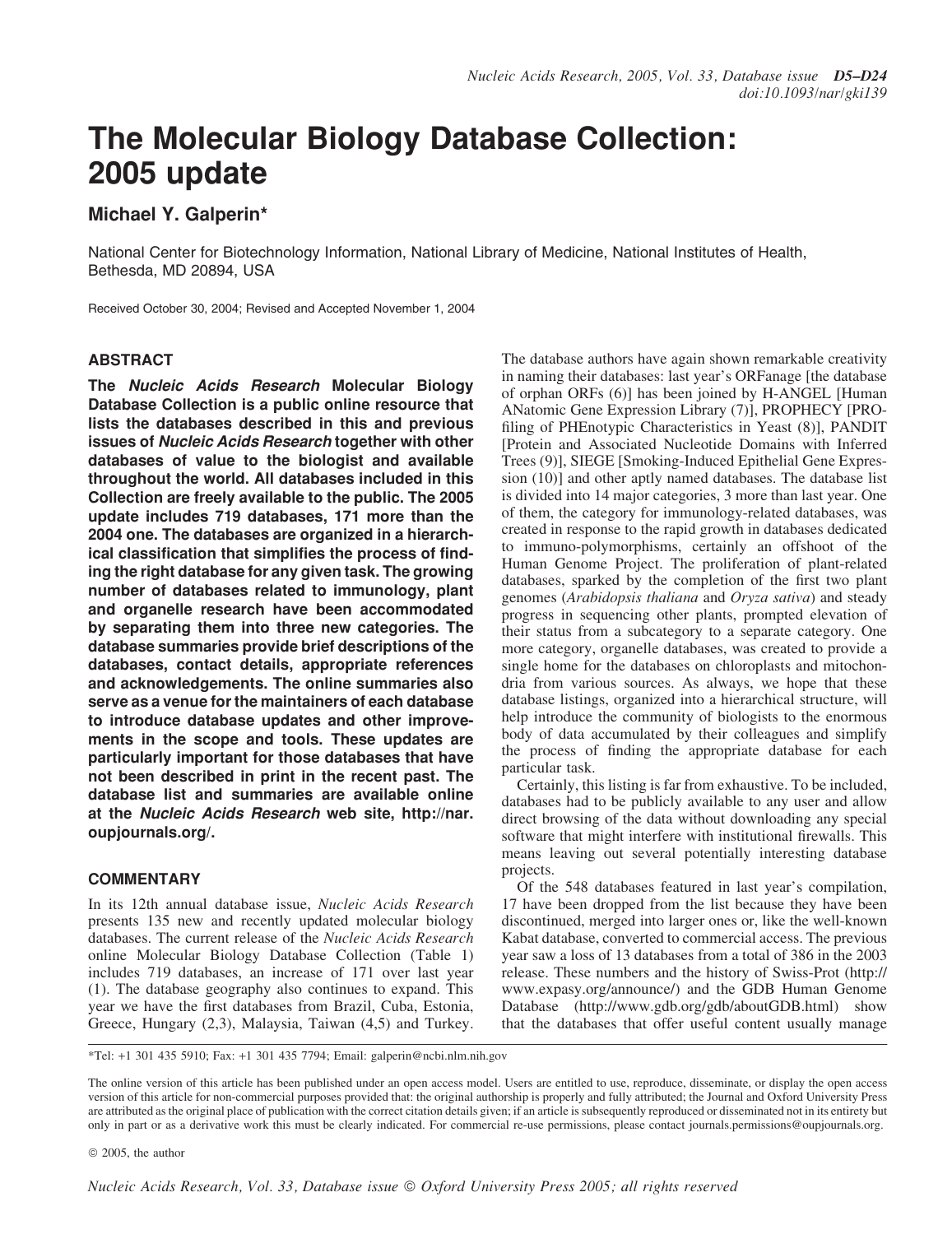# The Molecular Biology Database Collection: 2005 update

## Michael Y. Galperin\*

National Center for Biotechnology Information, National Library of Medicine, National Institutes of Health, Bethesda, MD 20894, USA

Received October 30, 2004; Revised and Accepted November 1, 2004

### ABSTRACT

The Nucleic Acids Research Molecular Biology Database Collection is a public online resource that lists the databases described in this and previous issues of Nucleic Acids Research together with other databases of value to the biologist and available throughout the world. All databases included in this Collection are freely available to the public. The 2005 update includes 719 databases, 171 more than the 2004 one. The databases are organized in a hierarchical classification that simplifies the process of finding the right database for any given task. The growing number of databases related to immunology, plant and organelle research have been accommodated by separating them into three new categories. The database summaries provide brief descriptions of the databases, contact details, appropriate references and acknowledgements. The online summaries also serve as a venue for the maintainers of each database to introduce database updates and other improvements in the scope and tools. These updates are particularly important for those databases that have not been described in print in the recent past. The database list and summaries are available online at the Nucleic Acids Research web site, [http://nar.](http://nar) oupjournals.org/.

#### **COMMENTARY**

In its 12th annual database issue, Nucleic Acids Research presents 135 new and recently updated molecular biology databases. The current release of the Nucleic Acids Research online Molecular Biology Database Collection (Table 1) includes 719 databases, an increase of 171 over last year (1). The database geography also continues to expand. This year we have the first databases from Brazil, Cuba, Estonia, Greece, Hungary (2,3), Malaysia, Taiwan (4,5) and Turkey. The database authors have again shown remarkable creativity in naming their databases: last year's ORFanage [the database of orphan ORFs (6)] has been joined by H-ANGEL [Human ANatomic Gene Expression Library (7)], PROPHECY [PROfiling of PHEnotypic Characteristics in Yeast (8)], PANDIT [Protein and Associated Nucleotide Domains with Inferred Trees (9)], SIEGE [Smoking-Induced Epithelial Gene Expression (10)] and other aptly named databases. The database list is divided into 14 major categories, 3 more than last year. One of them, the category for immunology-related databases, was created in response to the rapid growth in databases dedicated to immuno-polymorphisms, certainly an offshoot of the Human Genome Project. The proliferation of plant-related databases, sparked by the completion of the first two plant genomes (Arabidopsis thaliana and Oryza sativa) and steady progress in sequencing other plants, prompted elevation of their status from a subcategory to a separate category. One more category, organelle databases, was created to provide a single home for the databases on chloroplasts and mitochondria from various sources. As always, we hope that these database listings, organized into a hierarchical structure, will help introduce the community of biologists to the enormous body of data accumulated by their colleagues and simplify the process of finding the appropriate database for each particular task.

Certainly, this listing is far from exhaustive. To be included, databases had to be publicly available to any user and allow direct browsing of the data without downloading any special software that might interfere with institutional firewalls. This means leaving out several potentially interesting database projects.

Of the 548 databases featured in last year's compilation, 17 have been dropped from the list because they have been discontinued, merged into larger ones or, like the well-known Kabat database, converted to commercial access. The previous year saw a loss of 13 databases from a total of 386 in the 2003 release. These numbers and the history of Swiss-Prot (<http://> www.expasy.org/announce/) and the GDB Human Genome Database ([http://www.gdb.org/gdb/aboutGDB.html\)](http://www.gdb.org/gdb/aboutGDB.html) show that the databases that offer useful content usually manage

\*Tel: +1 301 435 5910; Fax: +1 301 435 7794; Email: galperin@ncbi.nlm.nih.gov

The online version of this article has been published under an open access model. Users are entitled to use, reproduce, disseminate, or display the open access version of this article for non-commercial purposes provided that: the original authorship is properly and fully attributed; the Journal and Oxford University Press are attributed as the original place of publication with the correct citation details given; if an article is subsequently reproduced or disseminated not in its entirety but only in part or as a derivative work this must be clearly indicated. For commercial re-use permissions, please contact journals.permissions@oupjournals.org.

 $\odot$  2005, the author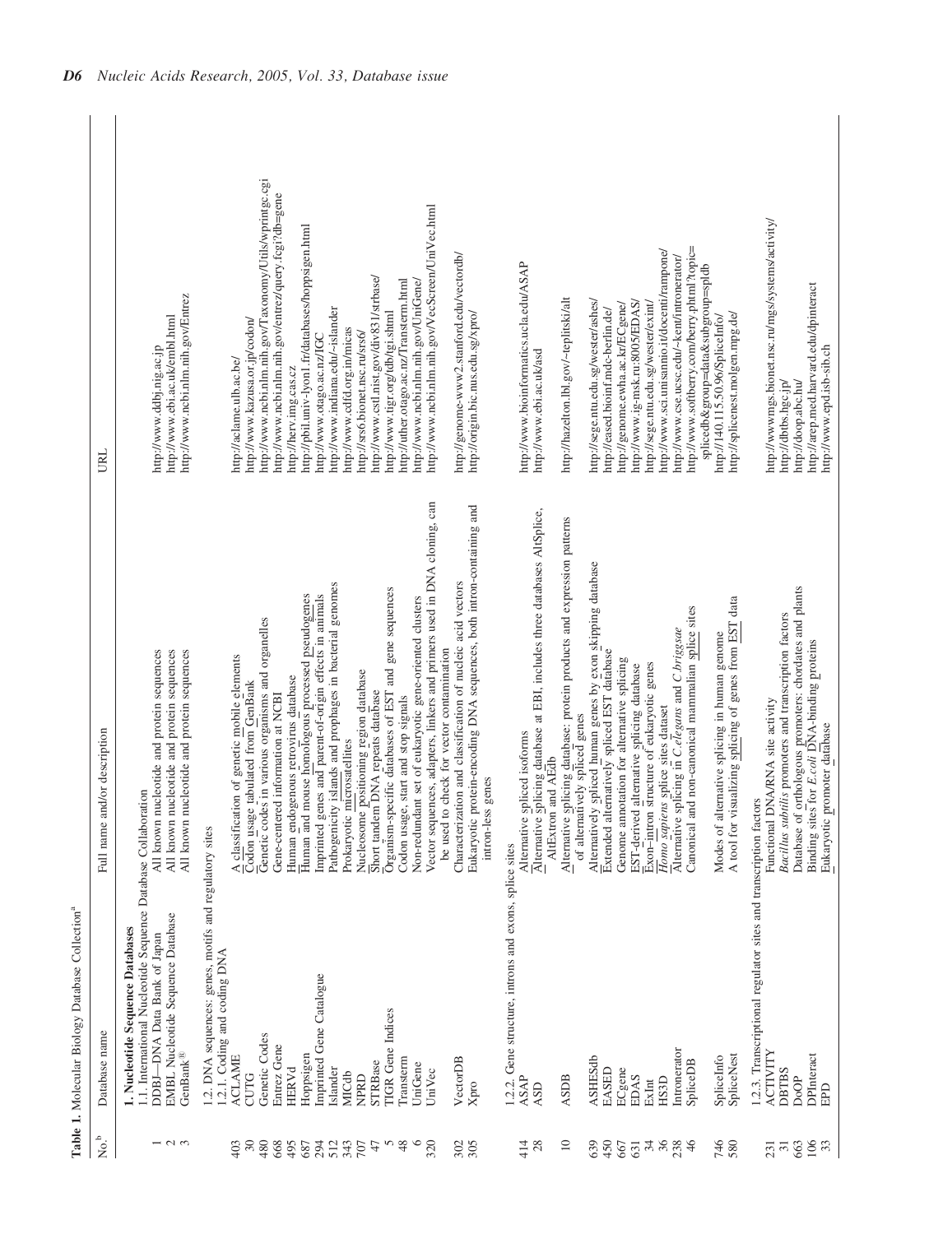|                            | Table 1. Molecular Biology Database Collection <sup>ª</sup>                                                                                                                                   |                                                                                                                                        |                                                                                                            |
|----------------------------|-----------------------------------------------------------------------------------------------------------------------------------------------------------------------------------------------|----------------------------------------------------------------------------------------------------------------------------------------|------------------------------------------------------------------------------------------------------------|
| $\mathrm{No}^{\mathrm{b}}$ | Database name                                                                                                                                                                                 | <b>Vor</b> description<br>Full name and                                                                                                | B                                                                                                          |
| $-25$                      | 1.1. International Nucleotide Sequence Database Collaboration<br>EMBL Nucleotide Sequence Database<br>1. Nucleotide Sequence Databases<br>DDBJ-DNA Data Bank of Japan<br>GenBank <sup>®</sup> | All known nucleotide and protein sequences<br>All known nucleotide and protein sequences<br>All known nucleotide and protein sequences | http://www.ncbi.nlm.nih.gov/Entrez<br>http://www.ebi.ac.uk/embl.html<br>http://www.ddbj.nig.ac.jp          |
|                            | 1.2. DNA sequences: genes, motifs and regulatory sites<br>1.2.1. Coding and coding DNA                                                                                                        |                                                                                                                                        |                                                                                                            |
| $30\,$<br>403              | <b>ACLAME</b><br>CUTG                                                                                                                                                                         | A classification of genetic mobile elements                                                                                            | http://aclame.ulb.ac.be/                                                                                   |
| 480                        | Genetic Codes                                                                                                                                                                                 | in various organisms and organelles<br>tabulated from GenBank<br>Genetic codes<br>Codon usage                                          | http://www.ncbi.nlm.nih.gov/Taxonomy/Utils/wprintgc.cgi<br>http://www.kazusa.or.jp/codon/                  |
| 668                        | Entrez Gene                                                                                                                                                                                   | Gene-centered information at NCBI                                                                                                      | http://www.ncbi.nlm.nih.gov/entrez/query.fcgi?db=gene                                                      |
| 495<br>687                 | Hoppsigen<br>HERVd                                                                                                                                                                            | Human and mouse homologous processed pseudogenes<br>Human endogenous retrovirus database                                               | http://pbil.univ-lyon1.fr/databases/hoppsigen.html<br>http://herv.img.cas.cz                               |
| 294<br>512                 | Imprinted Gene Catalogue                                                                                                                                                                      | Imprinted genes and parent-of-origin effects in animals                                                                                | http://www.otago.ac.nz/IGC                                                                                 |
|                            | Islander<br>MICdb                                                                                                                                                                             | Pathogenicity islands and prophages in bacterial genomes<br>Prokaryotic microsatellites                                                | http://www.indiana.edu/~islander<br>http://www.cdfd.org.in/micas                                           |
| 343<br>707                 | <b>NPRD</b>                                                                                                                                                                                   | Nucleosome positioning region database                                                                                                 | http://srs6.bionet.nsc.ru/srs6/                                                                            |
| 5<br>$47$                  | <b>TIGR</b> Gene Indices<br><b>STRBase</b>                                                                                                                                                    | Organism-specific databases of EST and gene sequences<br>Short tandem DNA repeats database                                             | http://www.cstl.nist.gov/div831/strbase/<br>http://www.tigr.org/tdb/tgi.shtml                              |
| $48$                       | Transterm                                                                                                                                                                                     | Codon usage, start and stop signals                                                                                                    | http://uther.otago.ac.nz/Transterm.html                                                                    |
| $\circ$                    | UniGene                                                                                                                                                                                       | Non-redundant set of eukaryotic gene-oriented clusters                                                                                 | http://www.ncbi.nlm.nih.gov/UniGene/                                                                       |
| 320                        | UniVec                                                                                                                                                                                        | Vector sequences, adapters, linkers and primers used in DNA cloning, can<br>be used to check for vector contamination                  | http://www.ncbi.nlm.nih.gov/VecScreen/UniVec.html                                                          |
| 305                        | VectorDB                                                                                                                                                                                      | Characterization and classification of nucleic acid vectors                                                                            | http://genome-www2.stanford.edu/vectordb/                                                                  |
|                            | Xpro                                                                                                                                                                                          | Eukaryotic protein-encoding DNA sequences, both intron-containing and<br>intron-less genes                                             | http://origin.bic.nus.edu.sg/xpro/                                                                         |
|                            | 1.2.2. Gene structure, introns and exons, splice sites                                                                                                                                        |                                                                                                                                        |                                                                                                            |
| 414                        | ASAP                                                                                                                                                                                          | Alternative spliced isoforms                                                                                                           | http://www.bioinformatics.ucla.edu/ASAP                                                                    |
| 28                         | ASD                                                                                                                                                                                           | Alternative splicing database at EBI, includes three databases AltSplice,<br>AltExtron and AEdb                                        | http://www.ebi.ac.uk/asd                                                                                   |
| $\overline{10}$            | ASDB                                                                                                                                                                                          | Alternative splicing database: protein products and expression patterns<br>of alternatively spliced genes                              | http://hazelton.lbl.gov/~teplitski/alt                                                                     |
| 450<br>639                 | ASHESdb                                                                                                                                                                                       | spliced human genes by exon skipping database<br>Alternatively                                                                         | http://sege.ntu.edu.sg/wester/ashes/                                                                       |
| 667                        | ECgene<br>EASED                                                                                                                                                                               | Extended alternatively spliced EST database<br>Genome annotation for alternative splicing                                              | http://genome.ewha.ac.kr/ECgene/<br>http://eased.bioinf.mdc-berlin.de/                                     |
| 631                        | <b>EDAS</b>                                                                                                                                                                                   | EST-derived alternative splicing database                                                                                              | http://www.ig-msk.ru:8005/EDAS/                                                                            |
| 34                         | ExInt                                                                                                                                                                                         | Exon-intron structure of eukaryotic genes                                                                                              | http://sege.ntu.edu.sg/wester/exint/                                                                       |
| 36<br>238                  | Intronerator<br>HS3D                                                                                                                                                                          | Alternative splicing in C.elegans and C.briggsae<br>Homo sapiens splice sites dataset                                                  | http://www.sci.unisannio.it/docenti/rampone/<br>http://www.cse.ucsc.edu/~kent/intronerator/                |
| 46                         | SpliceDB                                                                                                                                                                                      | Canonical and non-canonical mammalian splice sites                                                                                     | http://www.softberry.com/berry.phtml?topic=                                                                |
| 746<br>580                 | SpliceNest<br>SpliceInfo                                                                                                                                                                      | A tool for visualizing splicing of genes from EST data<br>Modes of alternative splicing in human genome                                | splicedb&group=data&subgroup=spldb<br>http://splicenest.molgen.mpg.de/<br>http://140.115.50.96/SpliceInfo/ |
|                            | 1.2.3. Transcriptional regulator sites and transcription factors                                                                                                                              |                                                                                                                                        |                                                                                                            |
| 231                        | ACTIVITY                                                                                                                                                                                      | Functional DNA/RNA site activity                                                                                                       | http://wwwmgs.bionet.nsc.ru/mgs/systems/activity/                                                          |
| 663<br>$\overline{31}$     | DBTBS<br>DoOP                                                                                                                                                                                 | Database of orthologous promoters: chordates and plants<br>Bacillus subtilis promoters and transcription factors                       | http://dbtbs.hgc.jp/<br>http://doop.abc.hu/                                                                |
| 106<br>33                  | <b>DPInteract</b><br>品                                                                                                                                                                        | for E.coli DNA-binding proteins<br>Eukaryotic promoter database<br><b>Binding</b> sites                                                | http://arep.med.harvard.edu/dpinteract<br>http://www.epd.isb-sib.ch                                        |
|                            |                                                                                                                                                                                               |                                                                                                                                        |                                                                                                            |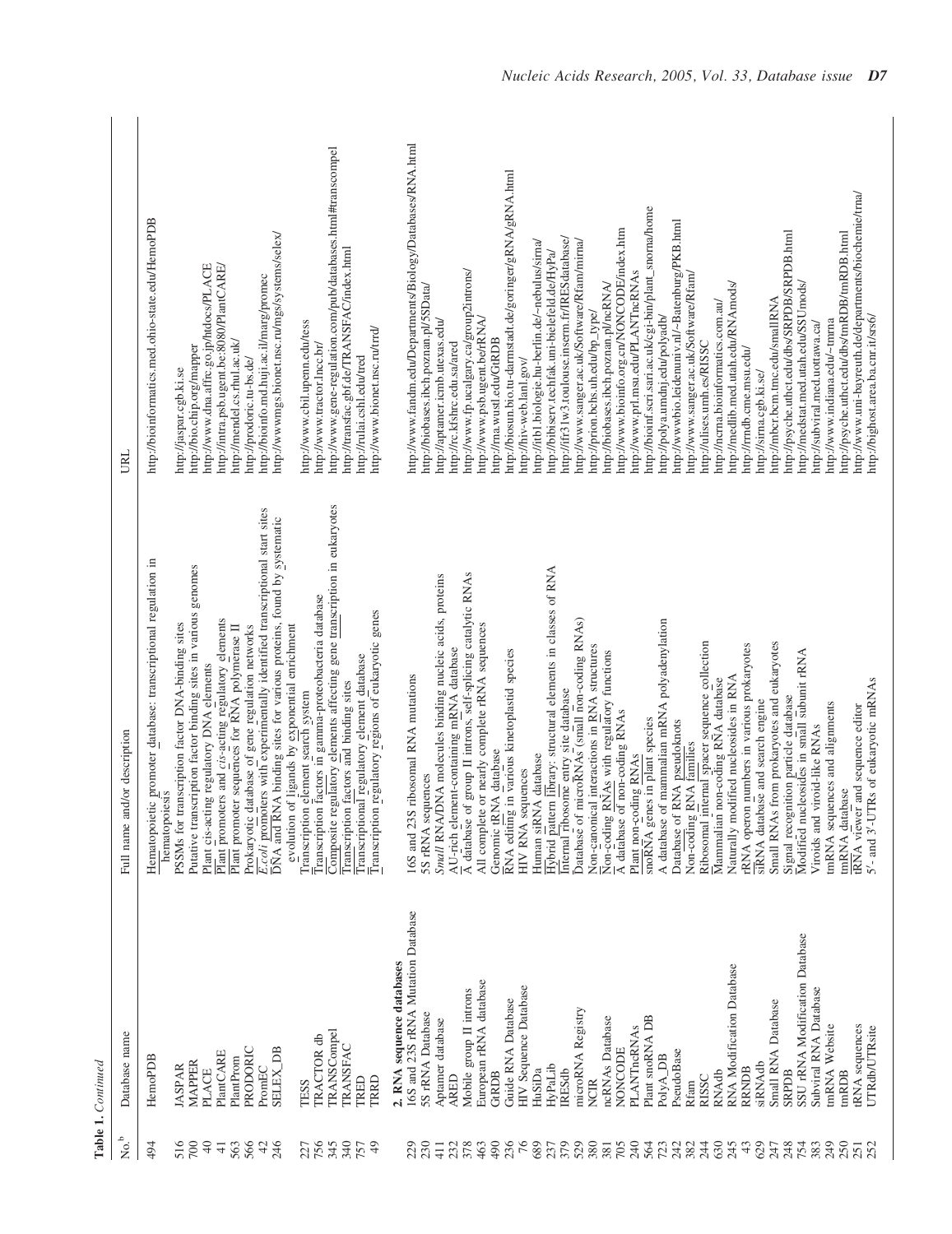|                                    | Table 1. Continued                                |                                                                                                                                                                                                               |                                                                                                                         |
|------------------------------------|---------------------------------------------------|---------------------------------------------------------------------------------------------------------------------------------------------------------------------------------------------------------------|-------------------------------------------------------------------------------------------------------------------------|
| $\mathop{\rm No}\nolimits^{\rm b}$ | Database name                                     | and/or description<br>Full name                                                                                                                                                                               | B                                                                                                                       |
| 494                                | HemoPDB                                           | Hematopoietic promoter database: transcriptional regulation in<br>hematopoiesis                                                                                                                               | http://bioinformatics.med.ohio-state.edu/HemoPDB                                                                        |
| $\frac{1}{2}$<br>516<br>700        | <b>MAPPER</b><br>JASPAR<br>PLACE                  | Putative transcription factor binding sites in various genomes<br>PSSMs for transcription factor DNA-binding sites<br>Plant cis-acting regulatory DNA elements                                                | http://www.dna.affrc.go.jp/htdocs/PLACE<br>http://bio.chip.org/mapper<br>http://jaspar.cgb.ki.se                        |
| 563<br>$\frac{1}{4}$               | PlantCARE<br>PlantProm                            | Plant promoters and cis-acting regulatory elements<br>Plant promoter sequences for RNA polymerase II                                                                                                          | http://intra.psb.ugent.be:8080/PlantCARE/<br>http://mendel.cs.rhul.ac.uk/                                               |
| 566<br>246<br>$\ddot{c}$           | PRODORIC<br>SELEX DB<br>PromEC                    | Prokaryotic database of gene regulation networks<br><i>E.coli</i> promoters with experimentally identified transcriptional start sites<br>DNA and RNA binding sites for various proteins, found by systematic | http://wwwmgs.bionet.nsc.ru/mgs/systems/selex/<br>http://bioinfo.md.huji.ac.il/marg/promec<br>http://prodoric.tu-bs.de/ |
| 227<br>756                         | TESS                                              | evolution of ligands by exponential enrichment<br>Transcription element search system                                                                                                                         | http://www.cbil.upenn.edu/tess                                                                                          |
| 345                                | <b>TRANSCompel</b><br>TRACTOR db                  | Composite regulatory elements affecting gene transcription in eukaryotes<br>Transcription factors in gamma-proteobacteria database                                                                            | http://www.gene-regulation.com/pub/databases.html#transcompel<br>http://www.tractor.lncc.br/                            |
| 340<br>$\frac{4}{9}$<br>757        | TRANSFAC<br>TRED<br>TRRD                          | Transcription regulatory regions of eukaryotic genes<br>Transcriptional regulatory element database<br>Transcription factors and binding sites                                                                | http://transfac.gbf.de/TRANSFAC/index.html<br>http://www.bionet.nsc.ru/trrd/<br>http://rulai.cshl.edu/tred              |
|                                    | 2. RNA sequence databases                         |                                                                                                                                                                                                               |                                                                                                                         |
| 230<br>229                         | 16S and 23S rRNA Mutation Database                | 16S and 23S ribosomal RNA mutations                                                                                                                                                                           | http://www.fandm.edu/Departments/Biology/Databases/RNA.html                                                             |
| $\frac{11}{4}$                     | 5S rRNA Database<br>Aptamer database              | Small RNA/DNA molecules binding nucleic acids, proteins<br>5S rRNA sequences                                                                                                                                  | http://biobases.ibch.poznan.pl/5SData/<br>http://aptamer.icmb.utexas.edu/                                               |
| 232                                | <b>ARED</b>                                       | AU-rich element-containing mRNA database                                                                                                                                                                      | http://rc.kfshrc.edu.sa/ared                                                                                            |
| 378<br>463                         | European rRNA database<br>Mobile group II introns | A database of group II introns, self-splicing catalytic RNAs<br>All complete or nearly complete rRNA sequences                                                                                                | http://www.fp.ucalgary.ca/group2introns/<br>http://www.psb.ugent.be/rRNA/                                               |
| 490                                | GtRDB                                             | Genomic tRNA database                                                                                                                                                                                         | http://ma.wustl.edu/GtRDB                                                                                               |
| 236<br>76                          | HIV Sequence Database<br>Guide RNA Database       | RNA editing in various kinetoplastid species<br>HIV RNA sequences                                                                                                                                             | http://biosun.bio.tu-darmstadt.de/goringer/gRNA/gRNA.html<br>http://hiv-web.lanl.gov/                                   |
| 689                                | HuSiDa                                            | Human siRNA database                                                                                                                                                                                          | http://itb1.biologie.hu-berlin.de/~nebulus/sirna/                                                                       |
| 379<br>237                         | HyPaLib<br><b>IRESdb</b>                          | Hybrid pattern library: structural elements in classes of RNA<br>Internal ribosome entry site database                                                                                                        | http://ifr31w3.toulouse.inserm.fr/IRESdatabase/<br>http://bibiserv.techfak.uni-bielefeld.de/HyPa/                       |
| 529                                | microRNA Registry                                 | Database of microRNAs (small non-coding RNAs)                                                                                                                                                                 | http://www.sanger.ac.uk/Software/Rfam/mirna/                                                                            |
| 380<br>381                         | ncRNAs Database<br><b>NCIR</b>                    | Non-canonical interactions in RNA structures<br>Non-coding RNAs with regulatory functions                                                                                                                     | http://biobases.ibch.poznan.pl/ncRNA/<br>http://prion.bchs.uh.edu/bp_type/                                              |
| 705                                | NONCODE                                           | of non-coding RNAs<br>A database                                                                                                                                                                              | http://www.bioinfo.org.cn/NONCODE/index.htm                                                                             |
| 240<br>564                         | Plant snoRNA DB<br><b>PLANTncRNAs</b>             | snoRNA genes in plant species<br>Plant non-coding RNAs                                                                                                                                                        | http://bioinf.scri.sari.ac.uk/cgi-bin/plant_snorna/home<br>http://www.prl.msu.edu/PLANTncRNAs                           |
| 723                                | PolyA_DB                                          | of mammalian mRNA polyadenylation<br>A database                                                                                                                                                               | http://polya.umdnj.edu/polyadb/                                                                                         |
| 242<br>382                         | PseudoBase                                        | Database of RNA pseudoknots<br>RNA families                                                                                                                                                                   | http://wwwbio.leidenuniv.nl/~Batenburg/PKB.html                                                                         |
| 244                                | RISSC<br>Rfam                                     | internal spacer sequence collection<br>Non-coding<br>Ribosomal                                                                                                                                                | http://www.sanger.ac.uk/Software/Rfam/<br>http://ulises.umh.es/RISSC                                                    |
| 630                                | RNAdb                                             | Mammalian non-coding RNA database                                                                                                                                                                             | http://ncrna.bioinformatics.com.au/                                                                                     |
| 245                                | RNA Modification Database<br>RRNDB                | Naturally modified nucleosides in RNA                                                                                                                                                                         | http://medlib.med.utah.edu/RNAmods/                                                                                     |
| 629<br>43                          | siRNAdb                                           | rRNA operon numbers in various prokaryotes<br>siRNA database and search engine                                                                                                                                | http://rrndb.cme.msu.edu/<br>http://sirna.cgb.ki.se/                                                                    |
| 248<br>247                         | Small RNA Database<br><b>SRPDB</b>                | Small RNAs from prokaryotes and eukaryotes                                                                                                                                                                    | http://psyche.uthct.edu/dbs/SRPDB/SRPDB.html<br>http://mbcr.bcm.tmc.edu/smallRNA                                        |
| 754                                | SSU rRNA Modification Database                    | Modified nucleosides in small subunit rRNA<br>Signal recognition particle database                                                                                                                            | http://medstat.med.utah.edu/SSUmods/                                                                                    |
| 383<br>249                         | Subviral RNA Database<br>tmRNA Website            | tmRNA sequences and alignments<br>Viroids and viroid-like RNAs                                                                                                                                                | http://www.indiana.edu/~tmrna<br>http://subviral.med.uottawa.ca/                                                        |
| 250                                | <b>tmRDB</b>                                      | tmRNA database                                                                                                                                                                                                | http://psyche.uthct.edu/dbs/tmRDB/tmRDB.html                                                                            |
| 252                                | <b>RNA</b> sequences<br><b>UTRdb/UTRsite</b>      | 5'- and 3'-UTRs of eukaryotic mRNAs<br>tRNA viewer and sequence editor                                                                                                                                        | http://www.uni-bayreuth.de/departments/biochemie/trna/<br>http://bighost.area.ba.cnr.it/srs6/                           |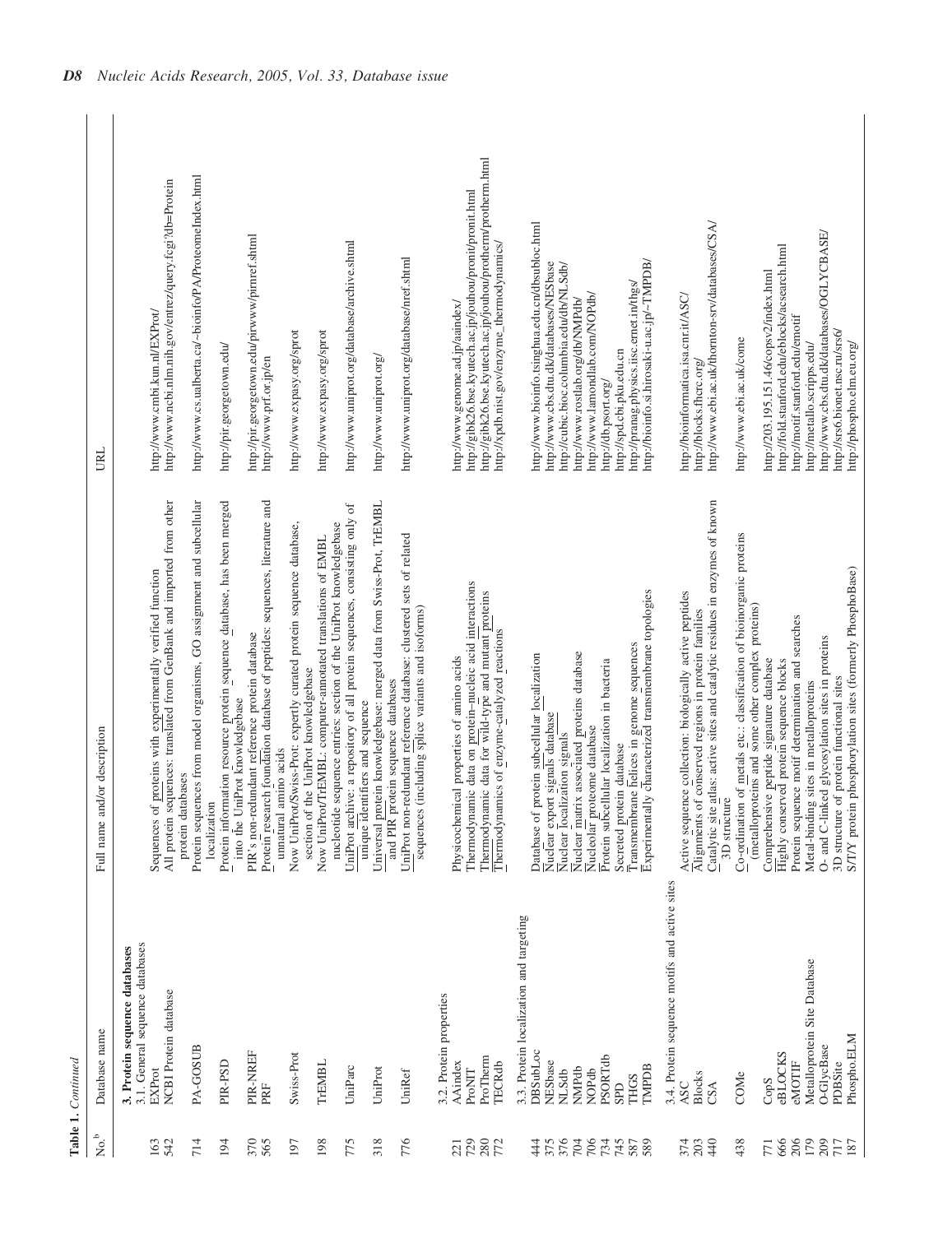|                                                      | Table 1. Continued                                                                                                                                |                                                                                                                                                                                                                                                                                                                                                                                  |                                                                                                                                                                                                                                                                                                                                                                |
|------------------------------------------------------|---------------------------------------------------------------------------------------------------------------------------------------------------|----------------------------------------------------------------------------------------------------------------------------------------------------------------------------------------------------------------------------------------------------------------------------------------------------------------------------------------------------------------------------------|----------------------------------------------------------------------------------------------------------------------------------------------------------------------------------------------------------------------------------------------------------------------------------------------------------------------------------------------------------------|
| $\mathop{\rm No}\nolimits^{\rm b}$                   | Database name                                                                                                                                     | Full name and/or description                                                                                                                                                                                                                                                                                                                                                     | URL                                                                                                                                                                                                                                                                                                                                                            |
| 163<br>542                                           | 3.1. General sequence databases<br>3. Protein sequence databases<br><b>NCBI</b> Protein database<br>EXProt                                        | All protein sequences: translated from GenBank and imported from other<br>proteins with experimentally verified function<br>Sequences of                                                                                                                                                                                                                                         | http://www.ncbi.nlm.nih.gov/entrez/query.fcgi?db=Protein<br>http://www.cmbi.kun.nl/EXProt/                                                                                                                                                                                                                                                                     |
| 714                                                  | PA-GOSUB                                                                                                                                          | Protein sequences from model organisms, GO assignment and subcellular<br>protein databases                                                                                                                                                                                                                                                                                       | http://www.cs.ualberta.ca/~bioinfo/PA/ProteomeIndex.html                                                                                                                                                                                                                                                                                                       |
| 194                                                  | PIR-PSD                                                                                                                                           | Protein information resource protein sequence database, has been merged<br>into the UniProt knowledgebase<br>localization                                                                                                                                                                                                                                                        | http://pir.georgetown.edu/                                                                                                                                                                                                                                                                                                                                     |
| 370<br>565                                           | PIR-NREF<br>PRF                                                                                                                                   | Protein research foundation database of peptides: sequences, literature and<br>PIR's non-redundant reference protein database                                                                                                                                                                                                                                                    | http://pir.georgetown.edu/pirwww/pirnref.shtml<br>http://www.prf.or.jp/en                                                                                                                                                                                                                                                                                      |
| 197                                                  | Swiss-Prot                                                                                                                                        | Now UniProt/Swiss-Prot: expertly curated protein sequence database,<br>unnatural amino acids                                                                                                                                                                                                                                                                                     | http://www.expasy.org/sprot                                                                                                                                                                                                                                                                                                                                    |
| 198                                                  | TrEMBL                                                                                                                                            | Now UniProtTrEMBL: computer-annotated translations of EMBL<br>section of the UniProt knowledgebase                                                                                                                                                                                                                                                                               | http://www.expasy.org/sprot                                                                                                                                                                                                                                                                                                                                    |
| 775                                                  | UniParc                                                                                                                                           | UniProt archive: a repository of all protein sequences, consisting only of<br>nucleotide sequence entries: section of the UniProt knowledgebase                                                                                                                                                                                                                                  | http://www.uniprot.org/database/archive.shtml                                                                                                                                                                                                                                                                                                                  |
| 318                                                  | UniProt                                                                                                                                           | Universal protein knowledgebase: merged data from Swiss-Prot, TrEMBL<br>unique identifiers and sequence                                                                                                                                                                                                                                                                          | http://www.uniprot.org/                                                                                                                                                                                                                                                                                                                                        |
| 776                                                  | UniRef                                                                                                                                            | UniProt non-redundant reference database: clustered sets of related<br>sequences (including splice variants and isoforms)<br>and PIR protein sequence databases                                                                                                                                                                                                                  | http://www.uniprot.org/database/nref.shtml                                                                                                                                                                                                                                                                                                                     |
| 729<br>280<br>772<br>221                             | 3.2. Protein properties<br>ProTherm<br><b>AAindex</b><br>TECRdb<br>ProNIT                                                                         | Thermodynamic data on protein-nucleic acid interactions<br>Thermodynamic data for wild-type and mutant proteins<br>Thermodynamics of enzyme-catalyzed reactions<br>Physicochemical properties of amino acids                                                                                                                                                                     | http://gibk26.bse.kyutech.ac.jp/jouhou/protherm/protherm.html<br>http://gibk26.bse.kyutech.ac.jp/jouhou/pronit/pronit.html<br>http://xpdb.nist.gov/enzyme_thermodynamics/<br>http://www.genome.ad.jp/aaindex/                                                                                                                                                  |
| 376<br>704<br>706<br>734<br>745<br>587<br>589<br>444 | 3.3. Protein localization and targeting<br><b>DBSubLoc</b><br>PSORTdb<br>NESbase<br>TMPDB<br>NMPdb<br>NOPdb<br>NLSdb<br><b>THGS</b><br><b>GLS</b> | Experimentally characterized transmembrane topologies<br>Transmembrane helices in genome sequences<br>Nuclear matrix associated proteins database<br>Database of protein subcellular localization<br>Protein subcellular localization in bacteria<br>Nuclear export signals database<br>Nucleolar proteome database<br>Nuclear localization signals<br>Secreted protein database | http://www.bioinfo.tsinghua.edu.cn/dbsubloc.html<br>http://bioinfo.si.hirosaki-u.ac.jp/~TMPDB/<br>http://cubic.bioc.columbia.edu/db/NLSdb/<br>http://www.cbs.dtu.dk/databases/NESbase<br>http://pranag.physics.iisc.ernet.in/thgs/<br>http://www.lamondlab.com/NOPdb/<br>http://www.rostlab.org/db/NMPdb/<br>http://spd.cbi.pku.edu.cn<br>http://db.psort.org/ |
| 374<br>40                                            | 3.4. Protein sequence motifs and active sites<br>Blocks<br>ASC<br>$\mathsf{CS} \mathsf{A}$                                                        | Catalytic site atlas: active sites and catalytic residues in enzymes of known<br>Active sequence collection: biologically active peptides<br>Alignments of conserved regions in protein families<br>3D structure                                                                                                                                                                 | http://www.ebi.ac.uk/thomton-srv/databases/CSA/<br>http://bioinformatica.isa.cnr.it/ASC/<br>http://blocks.fhcrc.org/                                                                                                                                                                                                                                           |
| 438                                                  | COMe                                                                                                                                              | Co-ordination of metals etc.: classification of bioinorganic proteins<br>(metalloproteins and some other complex proteins)                                                                                                                                                                                                                                                       | http://www.ebi.ac.uk/come                                                                                                                                                                                                                                                                                                                                      |
| 666<br>179<br>206<br>209<br>717<br>771<br>187        | Metalloprotein Site Database<br>Phospho.ELM<br>O-GlycBase<br><b>eBLOCKS</b><br>eMOTIF<br>PDBSite<br>CopS                                          | S/T/Y protein phosphorylation sites (formerly PhosphoBase)<br>Protein sequence motif determination and searches<br>O- and C-linked glycosylation sites in proteins<br>Comprehensive peptide signature database<br>Highly conserved protein sequence blocks<br>3D structure of protein functional sites<br>sites in metalloproteins<br>Metal-binding                              | http://www.cbs.dtu.dk/databases/OGLYCBASE/<br>http://fold.stanford.edu/eblocks/acsearch.html<br>http://203.195.151.46/copsv2/index.html<br>http://motif.stanford.edu/emotif<br>http://srs6.bionet.nsc.ru/srs6/<br>http://metallo.scripps.edu/<br>http://phospho.elm.eu.org/                                                                                    |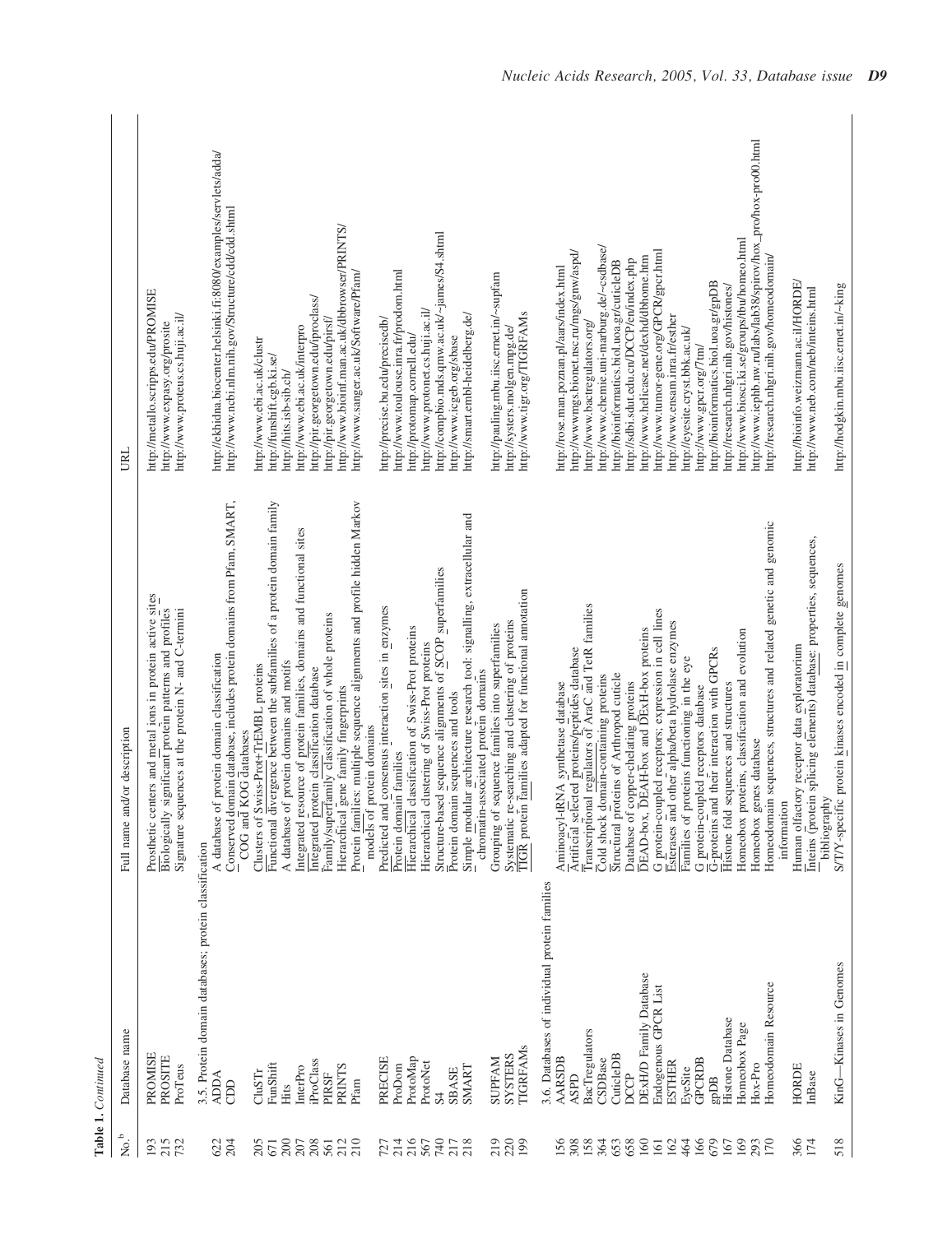|                            | Table 1. Continued                                                          |                                                                                                                                                                               |                                                                                                                          |
|----------------------------|-----------------------------------------------------------------------------|-------------------------------------------------------------------------------------------------------------------------------------------------------------------------------|--------------------------------------------------------------------------------------------------------------------------|
| $\mathrm{No}^{\mathrm{b}}$ | Database name                                                               | and/or description<br>Full name                                                                                                                                               | URL                                                                                                                      |
| 215<br>193                 | PROMISE<br>PROSITE<br>ProTeus                                               | Prosthetic centers and metal ions in protein active sites<br>significant protein patterns and profiles<br>Signature sequences at the protein N- and C-termini<br>Biologically | http://metallo.scripps.edu/PROMISE<br>http://www.proteus.cs.huji.ac.il/<br>http://www.expasy.org/prosite                 |
| 622<br>204                 | 3.5. Protein domain databases; protein classification<br><b>ADDA</b><br>CDD | Conserved domain database, includes protein domains from Pfam, SMART,<br>A database of protein domain classification<br>COG and KOG databases                                 | http://ekhidna.biocenter.helsinki.fi:8080/examples/servlets/adda/<br>http://www.ncbi.nlm.nih.gov/Structure/cdd/cdd.shtml |
| 200<br>205<br>671          | FunShift<br>CluSTr<br>Hits                                                  | Functional divergence between the subfamilies of a protein domain family<br>A database of protein domains and motifs<br>Clusters of Swiss-Prot+TrEMBL proteins                | http://www.ebi.ac.uk/clustr<br>http://funshift.cgb.ki.se/<br>http://hits.isb-sib.ch/                                     |
| 208<br>207                 | iProClass<br>InterPro                                                       | Integrated resource of protein families, domains and functional sites<br>Integrated protein classification database                                                           | http://pir.georgetown.edu/iproclass/<br>http://www.ebi.ac.uk/interpro                                                    |
| $\frac{212}{210}$<br>561   | <b>PRINTS</b><br>PIRSF                                                      | Family/superfamily classification of whole proteins<br>Hierarchical gene family fingerprints                                                                                  | http://www.bioinf.man.ac.uk/dbbrowser/PRINTS/<br>http://pir.georgetown.edu/pirsf/                                        |
|                            | Pfam                                                                        | Protein families: multiple sequence alignments and profile hidden Markov<br>models of protein domains                                                                         | http://www.sanger.ac.uk/Software/Pfam/                                                                                   |
| 214<br>727                 | PRECISE<br>ProDom                                                           | Predicted and consensus interaction sites in enzymes<br>Protein domain families                                                                                               | http://www.toulouse.inra.fr/prodom.html<br>http://precise.bu.edu/precisedb/                                              |
| 216                        | ProtoMap                                                                    | classification of Swiss-Prot proteins<br>Hierarchical                                                                                                                         | http://protomap.cornell.edu/                                                                                             |
| 740<br>567                 | ProtoNet<br>$\overline{S}4$                                                 | clustering of Swiss-Prot proteins<br>Hierarchical                                                                                                                             | http://compbio.mds.qmw.ac.uk/~james/S4.shtml<br>http://www.protonet.cs.huji.ac.il/                                       |
| 217                        | SBASE                                                                       | Structure-based sequence alignments of SCOP superfamilies<br>Protein domain sequences and tools                                                                               | http://www.icgeb.org/sbase                                                                                               |
| 218                        | SMART                                                                       | Simple modular architecture research tool: signalling, extracellular and<br>chromatin-associated protein domains                                                              | http://smart.embl-heidelberg.de/                                                                                         |
| 219                        | <b>SUPFAM</b>                                                               | Grouping of sequence families into superfamilies                                                                                                                              | http://pauling.mbu.iisc.ernet.in/~supfam                                                                                 |
| 220<br>199                 | <b>TIGRFAMS</b><br>SYSTERS                                                  | Systematic re-searching and clustering of proteins<br>TIGR protein families adapted for functional annotation                                                                 | http://www.tigr.org/TIGRFAMs<br>http://systers.molgen.mpg.de/                                                            |
|                            | 3.6. Databases of individual protein families                               |                                                                                                                                                                               |                                                                                                                          |
| 156                        | AARSDB                                                                      | Aminoacyl-tRNA synthetase database<br>Artificial selected proteins/peptides database                                                                                          | http://rose.man.poznan.pl/aars/index.html                                                                                |
| 158<br>308                 | BacTregulators<br><b>ASPD</b>                                               | Transcriptional regulators of AraC and TetR families                                                                                                                          | http://wwwmgs.bionet.nsc.ru/mgs/gnw/aspd/<br>http://www.bactregulators.org/                                              |
| 364                        | CSDBase                                                                     | domain-containing proteins<br>Cold shock                                                                                                                                      | http://www.chemie.uni-marburg.de/~csdbase/                                                                               |
| 653                        | CuticleDB                                                                   | Structural proteins of Arthropod cuticle                                                                                                                                      | http://bioinformatics.biol.uoa.gr/cuticleDB                                                                              |
| 658                        | DCCP                                                                        | DEAD-box, DEAH-box and DExH-box proteins<br>copper-chelating proteins<br>Database of                                                                                          | http://sdbi.sdut.edu.cn/DCCP/en/index.php                                                                                |
| 160<br>161                 | DExH/D Family Database                                                      |                                                                                                                                                                               | http://www.tumor-gene.org/GPCR/gpcr.html<br>http://www.helicase.net/dexhd/dbhome.htm                                     |
| 162                        | Endogenous GPCR List<br><b>ESTHER</b>                                       | G protein-coupled receptors; expression in cell lines<br>Esterases and other alpha/beta hydrolase enzymes                                                                     | http://www.ensam.inra.fr/esther                                                                                          |
| 464                        | EyeSite                                                                     | proteins functioning in the eye<br>Families of                                                                                                                                | http://eyesite.cryst.bbk.ac.uk/                                                                                          |
| 166                        | GPCRDB                                                                      | G protein-coupled receptors database                                                                                                                                          | http://www.gpcr.org/7tm/                                                                                                 |
| 679<br>167                 | Histone Database<br><b>SpDB</b>                                             | G-proteins and their interaction with GPCRs                                                                                                                                   | http://bioinformatics.biol.uoa.gr/gpDB                                                                                   |
| 169                        | Homeobox Page                                                               | Homeobox proteins, classification and evolution<br>Histone fold sequences and structures                                                                                      | http://www.biosci.ki.se/groups/tbu/homeo.html<br>http://research.nhgri.nih.gov/histones/                                 |
| 293                        | Hox-Pro                                                                     | Homeobox genes database                                                                                                                                                       | http://www.iephb.nw.ru/labs/lab38/spirov/hox_pro/hox-pro00.html                                                          |
| 170                        | Homeodomain Resource                                                        | Homeodomain sequences, structures and related genetic and genomic                                                                                                             | http://research.nhgri.nih.gov/homeodomain/                                                                               |
| 366                        | HORDE                                                                       | Human olfactory receptor data exploratorium<br>information                                                                                                                    | http://bioinfo.weizmann.ac.il/HORDE/                                                                                     |
| 174                        | InBase                                                                      | Inteins (protein splicing elements) database: properties, sequences,                                                                                                          | http://www.neb.com/neb/inteins.html                                                                                      |
| 518                        | KinG-Kinases in Genomes                                                     | S/T/Y-specific protein kinases encoded in complete genomes<br>bibliography                                                                                                    | http://hodgkin.mbu.iisc.ernet.in/~king                                                                                   |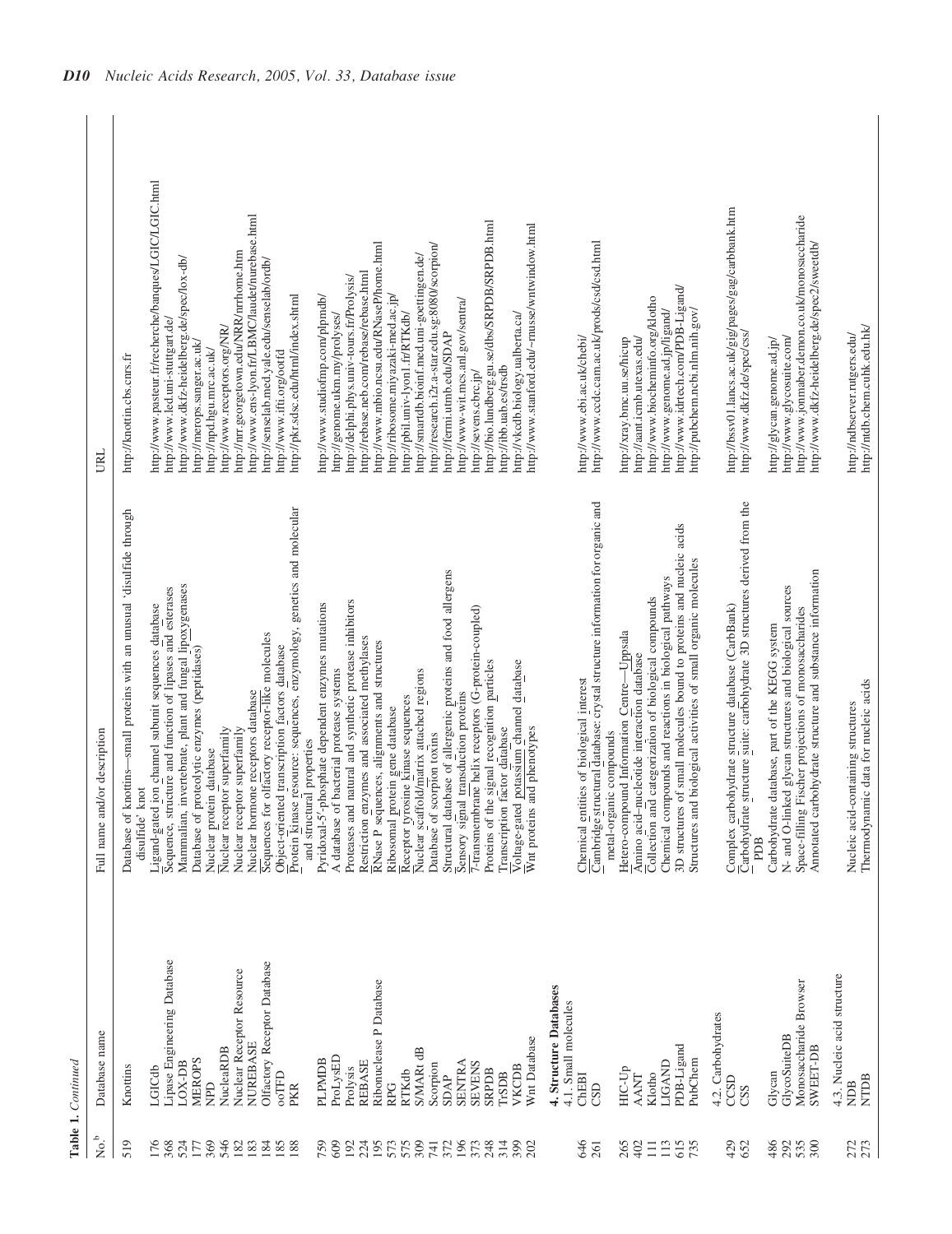| ī |  |
|---|--|
|   |  |

| $\mathrm{No}^{\mathrm{b}}$ |                                                   |                                                                                                                                         |                                                                                               |
|----------------------------|---------------------------------------------------|-----------------------------------------------------------------------------------------------------------------------------------------|-----------------------------------------------------------------------------------------------|
|                            | Database name                                     | Full name and/or description                                                                                                            | E                                                                                             |
| 519                        | Knottins                                          | -small proteins with an unusual 'disulfide through<br>knottins-<br>knot<br>disulfide'<br>Database of                                    | http://knottin.cbs.cnrs.fr                                                                    |
| 176<br>368                 | Lipase Engineering Database<br>LGICdb             | Sequence, structure and function of lipases and esterases<br>Ligand-gated ion channel subunit sequences database                        | http://www.pasteur.fr/recherche/banques/LGIC/LGIC.html<br>http://www.led.uni-stuttgart.de/    |
| 524                        | LOX-DB                                            | Mammalian, invertebrate, plant and fungal lipoxygenases                                                                                 | http://www.dkfz-heidelberg.de/spec/lox-db/                                                    |
| 369<br>177                 | <b>MEROPS</b><br><b>QdK</b>                       | proteolytic enzymes (peptidases)<br>Database of                                                                                         | http://merops.sanger.ac.uk/<br>http://npd.hgu.mrc.ac.uk/                                      |
| 546                        | NucleaRDB                                         | Nuclear protein database<br>Nuclear receptor superfamily                                                                                | http://www.receptors.org/NR/                                                                  |
| 182<br>183                 | Nuclear Receptor Resource<br>NUREBASE             | Nuclear hormone receptors database<br>Nuclear receptor superfamily                                                                      | http://www.ens-lyon.fr/LBMC/laudet/nurebase.html<br>http://nrr.georgetown.edu/NRR/nrrhome.htm |
| 184                        | Olfactory Receptor Database                       | Sequences for olfactory receptor-like molecules                                                                                         | http://senselab.med.yale.edu/senselab/ordb/                                                   |
| 185                        | ooTFD                                             | Object-oriented transcription factors database                                                                                          | http://www.ifti.org/ootfd                                                                     |
| 188                        | PKR                                               | Protein kinase resource: sequences, enzymology, genetics and molecular<br>and structural properties                                     | http://pkr.sdsc.edu/html/index.shtml                                                          |
| 759                        | <b>PLPMDB</b>                                     | -phosphate dependent enzymes mutations<br>Pyridoxal-5'                                                                                  | http://www.studiofmp.com/plpmdb/                                                              |
| 609                        | ProLysED                                          | A database of bacterial protease systems                                                                                                | http://genome.ukm.my/prolyses/                                                                |
| 192<br>224                 | <b>REBASE</b><br>Prolysis                         | Proteases and natural and synthetic protease inhibitors<br>Restriction enzymes and associated methylases                                | http://rebase.neb.com/rebase/rebase.html<br>http://delphi.phys.univ-tours.fr/Prolysis/        |
| 195                        | Ribonuclease P Database                           | RNase P sequences, alignments and structures                                                                                            | http://www.mbio.ncsu.edu/RNaseP/home.html                                                     |
| 573<br>575                 | RTKdb<br><b>RPG</b>                               | Ribosomal protein gene database                                                                                                         | http://ribosome.miyazaki-med.ac.jp/<br>http://pbil.univ-lyon1.fr/RTKdb/                       |
|                            | S/MARt dB                                         | Nuclear scaffold/matrix attached regions<br>Receptor tyrosine kinase sequences                                                          | http://smartdb.bioinf.med.uni-goettingen.de/                                                  |
| 741                        | Scorpion                                          | Database of scorpion toxins                                                                                                             | http://research.i2r.a-star.edu.sg:8080/scorpion/                                              |
|                            | <b>SDAP</b>                                       | Structural database of allergenic proteins and food allergens                                                                           | http://fermi.utmb.edu/SDAP                                                                    |
| 196<br>373                 | <b>SENTRA</b><br><b>SEVENS</b>                    | 7-transmembrane helix receptors (G-protein-coupled)<br>Sensory signal transduction proteins                                             | http://www-wit.mcs.anl.gov/sentra/<br>http://sevens.cbrc.jp/                                  |
| 248                        | SRPDB                                             | Proteins of the signal recognition particles                                                                                            | http://bio.lundberg.gu.se/dbs/SRPDB/SRPDB.html                                                |
| 314<br>399                 | <b>TrSDB</b>                                      | Transcription factor database                                                                                                           | http://ibb.uab.es/trsdb                                                                       |
| 202                        | Wnt Database<br><b>VKCDB</b>                      | Voltage-gated potassium channel database<br>Wnt proteins and phenotypes                                                                 | http://www.stanford.edu/~rnusse/wntwindow.html<br>http://vkcdb.biology.ualberta.ca/           |
|                            | 4. Structure Databases<br>4.1. Small molecules    |                                                                                                                                         |                                                                                               |
| 646<br>261                 | ChEBI<br>CSD                                      | Cambridge structural database: crystal structure information for organic and<br>Chemical entities of biological interest                | http://www.ccdc.cam.ac.uk/prods/csd/csd.html<br>http://www.ebi.ac.uk/chebi/                   |
|                            |                                                   | metal-organic compounds                                                                                                                 |                                                                                               |
| 265                        | HIC-Up                                            | Hetero-compound Information Centre-Uppsala                                                                                              | http://xray.bmc.uu.se/hicup                                                                   |
| 402<br>$\Xi$               | Klotho<br><b>AANT</b>                             | Collection and categorization of biological compounds<br>Amino acid-nucleotide interaction database                                     | http://www.biocheminfo.org/klotho<br>http://aant.icmb.utexas.edu/                             |
| 113                        | LIGAND                                            | Chemical compounds and reactions in biological pathways                                                                                 | http://www.genome.ad.jp/ligand/                                                               |
| 615                        | PDB-Ligand<br>PubChem                             | 3D structures of small molecules bound to proteins and nucleic acids<br>Structures and biological activities of small organic molecules | http://www.idrtech.com/PDB-Ligand/<br>http://pubchem.ncbi.nlm.nih.gov/                        |
| 429                        | 4.2. Carbohydrates<br>CCSD                        |                                                                                                                                         |                                                                                               |
| 652                        | CSS                                               | Complex carbohydrate structure database (CarbBank)<br>Carbohydrate structure suite: carbohydrate 3D structures derived from the         | http://bssv01.lancs.ac.uk/gig/pages/gag/carbbank.htm<br>http://www.dkfz.de/spec/css/          |
| 486                        | Glycan                                            | Carbohydrate database, part of the KEGG system<br><b>PDB</b>                                                                            | http://glycan.genome.ad.jp/                                                                   |
| 292<br>535                 | Monosaccharide Browser<br>GlycoSuiteDB            | N- and O-linked glycan structures and biological sources<br>Space-filling Fischer projections of monosaccharides                        | http://www.jonmaber.demon.co.uk/monosaccharide<br>http://www.glycosuite.com/                  |
| 300                        | <b>SWEET-DB</b>                                   | Annotated carbohydrate structure and substance information                                                                              | http://www.dkfz-heidelberg.de/spec2/sweetdb/                                                  |
| 273                        | 4.3. Nucleic acid structure<br><b>NTDB</b><br>NDB | Nucleic acid-containing structures<br>Thermodynamic data for nucleic acids                                                              | http://ntdb.chem.cuhk.edu.hk/<br>http://ndbserver.rutgers.edu/                                |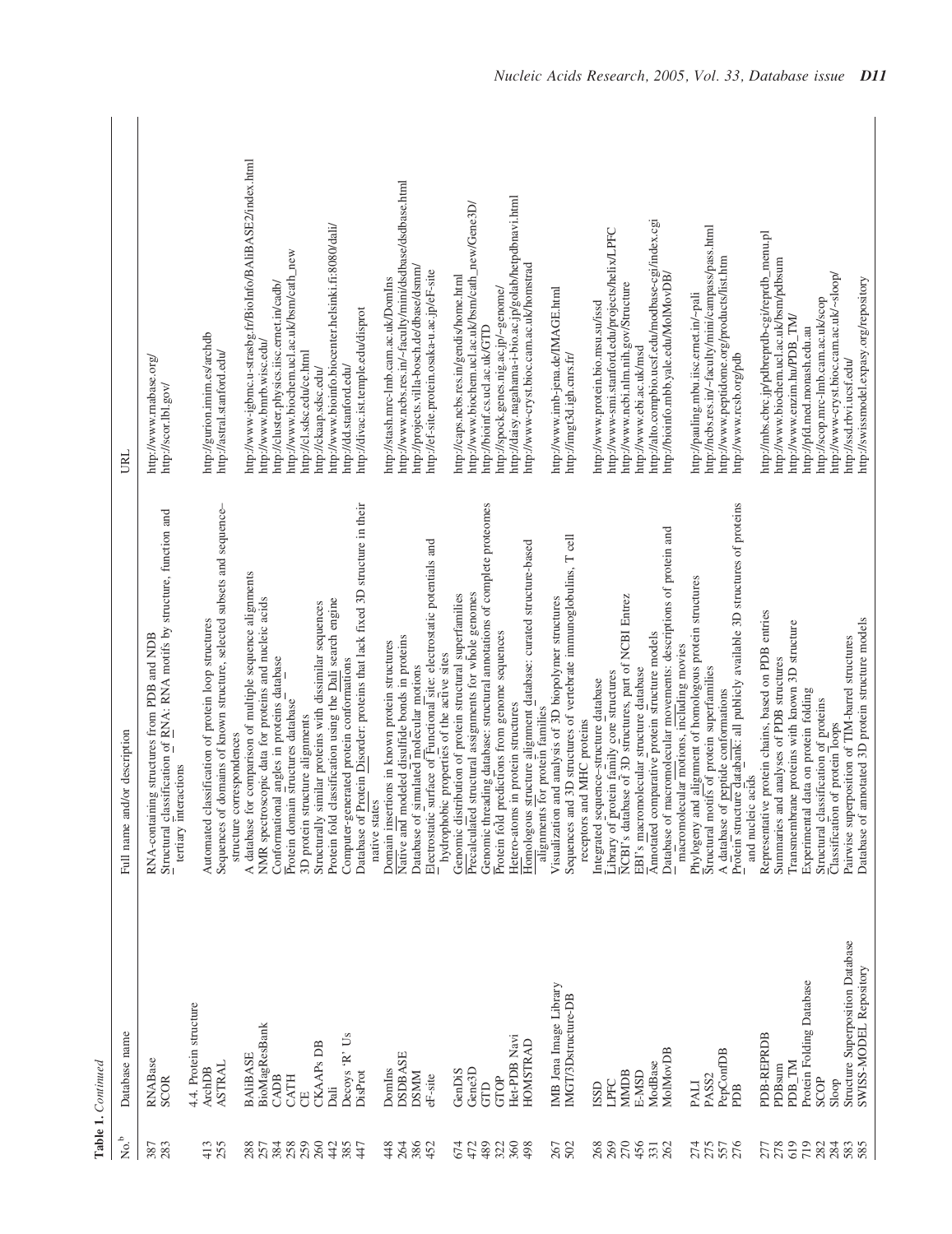|                            | Table 1. Continued                                |                                                                                                                                                                 |                                                                                                         |
|----------------------------|---------------------------------------------------|-----------------------------------------------------------------------------------------------------------------------------------------------------------------|---------------------------------------------------------------------------------------------------------|
| $\mathrm{No}^{\mathrm{b}}$ | Database name                                     | Full name and/or description                                                                                                                                    | B                                                                                                       |
| 283<br>387                 | RNABase<br><b>SCOR</b>                            | Structural classification of $\underline{R}NA$ : $RNA$ motifs by structure, function and<br>tertiary interactions<br>RNA-containing structures from PDB and NDB | http://www.rnabase.org/<br>http://scor.1bl.gov/                                                         |
| 413                        | 4.4. Protein structure<br>ASTRAL<br><b>ArchDB</b> | Sequences of domains of known structure, selected subsets and sequence-<br>Automated classification of protein loop structures                                  | http://gurion.imim.es/archdb<br>http://astral.stanford.edu/                                             |
| 288<br>257                 | <b>BAIIBASE</b>                                   | A database for comparison of multiple sequence alignments<br>structure correspondences                                                                          | http://www-igbmc.u-strasbg.fr/BioInfo/BAliBASE2/index.html                                              |
| 384                        | BioMagResBank<br>CADB                             | NMR spectroscopic data for proteins and nucleic acids<br>Conformational angles in proteins database                                                             | http://cluster.physics.iisc.ernet.in/cadb/<br>http://www.bmrb.wisc.edu/                                 |
| 258<br>259                 | CATH<br>5                                         | Protein domain structures database                                                                                                                              | http://www.biochem.ucl.ac.uk/bsm/cath_new                                                               |
| 260                        | <b>CKAAPs DB</b>                                  | similar proteins with dissimilar sequences<br>3D protein structure alignments<br>Structurally                                                                   | http://cl.sdsc.edu/ce.html<br>http://ckaap.sdsc.edu/                                                    |
| 442<br>385                 | Decoys 'R' Us<br>Dali                             | classification using the Dali search engine<br>Computer-generated protein conformations<br>Protein fold                                                         | http://www.bioinfo.biocenter.helsinki.fi:8080/dali/<br>http://dd.stanford.edu/                          |
| 447                        | DisProt                                           | Protein Disorder: proteins that lack fixed 3D structure in their<br>native states<br>Database of                                                                | http://divac.ist.temple.edu/disprot                                                                     |
| 448                        | DomIns                                            | Domain insertions in known protein structures                                                                                                                   | http://stash.mrc-lmb.cam.ac.uk/DomIns                                                                   |
| 386<br>264                 | <b>DSDBASE</b><br><b>DSMM</b>                     | Native and modeled disulfide bonds in proteins<br>Database of simulated molecular motions                                                                       | http://www.ncbs.res.in/~faculty/mini/dsdbase/dsdbase.html<br>http://projects.villa-bosch.de/dbase/dsmm/ |
| 452                        | eF-site                                           | Electrostatic surface of Functional site: electrostatic potentials and                                                                                          | http://ef-site.protein.osaka-u.ac.jp/eF-site                                                            |
|                            |                                                   | hydrophobic properties of the active sites                                                                                                                      |                                                                                                         |
| 674<br>472                 | Gene3D<br>GenDiS                                  | Precalculated structural assignments for whole genomes<br>Genomic distribution of protein structural superfamilies                                              | http://www.biochem.ucl.ac.uk/bsm/cath_new/Gene3D/<br>http://caps.ncbs.res.in/gendis/home.html           |
| 489                        | GTD                                               | Genomic threading database: structural annotations of complete proteomes                                                                                        | http://bioinf.cs.ucl.ac.uk/GTD                                                                          |
| 322                        | GTOP                                              | predictions from genome sequences<br>Protein fold                                                                                                               | http://spock.genes.nig.ac.jp/~genome/                                                                   |
| 360<br>498                 | Het-PDB Navi<br>HOMSTRAD                          | structure alignment database: curated structure-based<br>Hetero-atoms in protein structures<br>Homologous                                                       | http://daisy.nagahama-i-bio.ac.jp/golab/hetpdbnavi.html<br>http://www-cryst.bioc.cam.ac.uk/homstrad     |
|                            |                                                   | alignments for protein families                                                                                                                                 |                                                                                                         |
| 267<br>502                 | IMB Jena Image Library<br>IMGT/3Dstructure-DB     | Sequences and 3D structures of vertebrate immunoglobulins, T cell<br>Visualization and analysis of 3D biopolymer structures                                     | http://www.imb-jena.de/IMAGE.html<br>http://imgt3d.igh.cnrs.fr/                                         |
|                            |                                                   | receptors and MHC proteins                                                                                                                                      |                                                                                                         |
| 269<br>268                 | LPFC<br><b>ISSD</b>                               | Integrated sequence-structure database<br>Library of protein family core structures                                                                             | http://www.protein.bio.msu.su/issd                                                                      |
| 270                        | <b>MMDB</b>                                       | NCBI's database of 3D structures, part of NCBI Entrez                                                                                                           | http://www-smi.stanford.edu/projects/helix/LPFC<br>http://www.ncbi.nlm.nih.gov/Structure                |
| 456                        | E-MSD                                             | EBI's macromolecular structure database                                                                                                                         | http://www.ebi.ac.uk/msd                                                                                |
| 331                        | ModBase                                           | Annotated comparative protein structure models                                                                                                                  | http://alto.compbio.ucsf.edu/modbase-cgi/index.cgi                                                      |
| 262                        | MoMovDB                                           | macromolecular movements: descriptions of protein and<br>macromolecular motions, including movies<br>Database of                                                | http://bioinfo.mbb.yale.edu/MolMovDB/                                                                   |
| 274                        | <b>PALI</b>                                       | Phylogeny and alignment of homologous protein structures                                                                                                        | http://pauling.mbu.iisc.ernet.in/~pali                                                                  |
|                            | PASS2                                             | Structural motifs of protein superfamilies                                                                                                                      | http://ncbs.res.in/~faculty/mini/campass/pass.html                                                      |
| 275<br>557<br>276          | PepConfDB<br>PDB                                  | Protein structure databank: all publicly available 3D structures of proteins<br>A database of peptide conformations                                             | http://www.peptidome.org/products/list.htm<br>http://www.rcsb.org/pdb                                   |
|                            |                                                   | and nucleic acids                                                                                                                                               |                                                                                                         |
| 277<br>278                 | PDB-REPRDB<br>PDBsum                              | Representative protein chains, based on PDB entries<br>Summaries and analyses of PDB structures                                                                 | http://mbs.cbrc.jp/pdbreprdb-cgi/reprdb_menu.pl<br>http://www.biochem.ucl.ac.uk/bsm/pdbsum              |
| 619                        | PDB_TM                                            | Transmembrane proteins with known 3D structure                                                                                                                  | http://www.enzim.hu/PDB_TM/                                                                             |
| 719                        | Protein Folding Database                          | Experimental data on protein folding                                                                                                                            | http://pfd.med.monash.edu.au                                                                            |
| 282<br>284                 | SCOP<br>Sloop                                     | Structural classification of proteins<br>Classification of protein loops                                                                                        | http://www-cryst.bioc.cam.ac.uk/~sloop/<br>http://scop.mrc-lmb.cam.ac.uk/scop                           |
| 583<br>585                 | Structure Superposition Database                  | Pairwise superposition of TIM-barrel structures                                                                                                                 | http://ssd.rbvi.ucsf.edu/                                                                               |
|                            | SWISS-MODEL Repository                            | annotated 3D protein structure models<br>Database of                                                                                                            | http://swissmodel.expasy.org/repository                                                                 |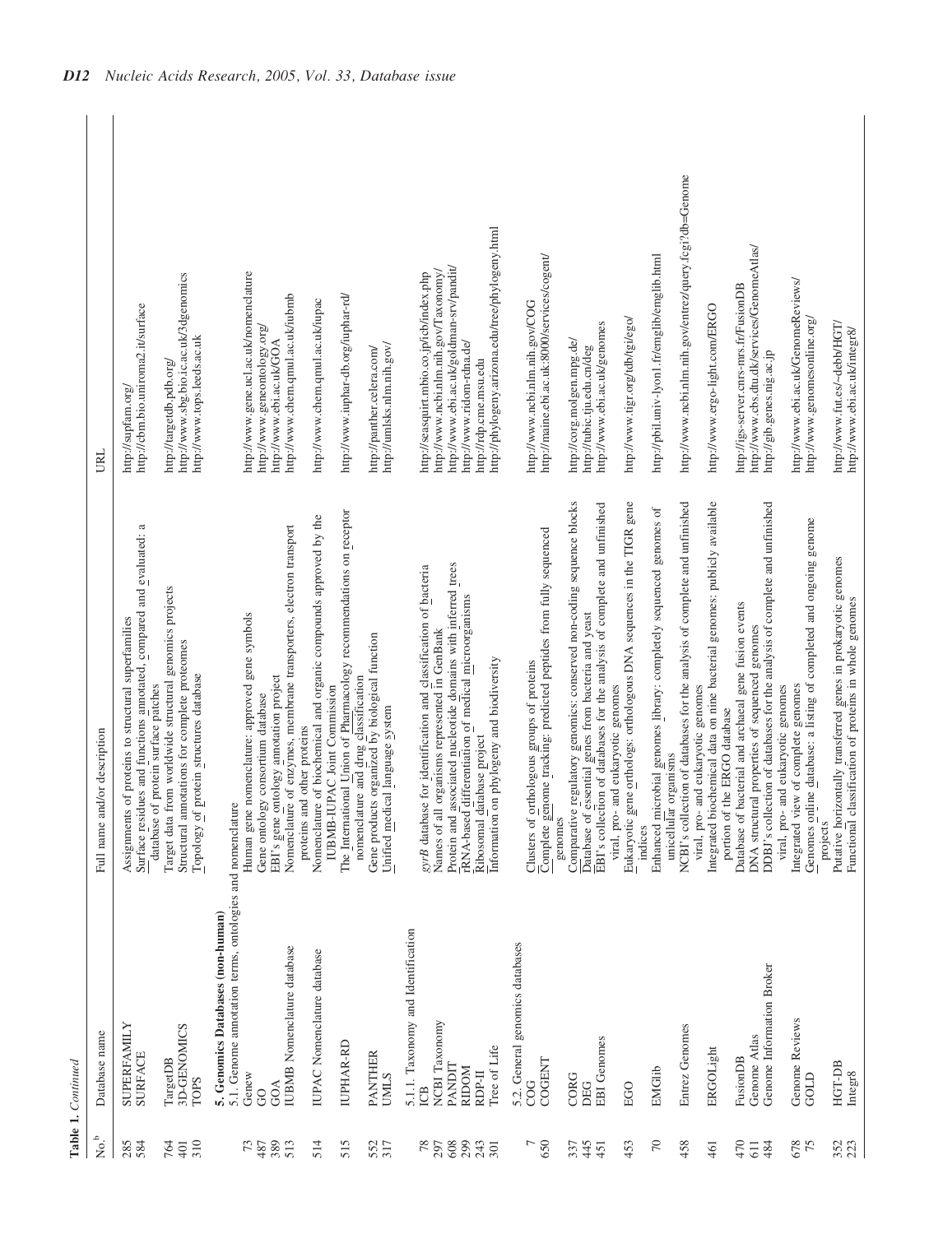|                            | Table 1. Continued                                                                             |                                                                                                                                                                   |                                                                                                   |
|----------------------------|------------------------------------------------------------------------------------------------|-------------------------------------------------------------------------------------------------------------------------------------------------------------------|---------------------------------------------------------------------------------------------------|
| $\mathrm{No}^{\mathrm{b}}$ | Database name                                                                                  | and/or description<br>Full name                                                                                                                                   | URL                                                                                               |
| 285<br>584                 | <b>SUPERFAMILY</b><br><b>SURFACE</b>                                                           | Surface residues and functions annotated, compared and evaluated: a<br>Assignments of proteins to structural superfamilies<br>database of protein surface patches | http://cbm.bio.uniroma2.it/surface<br>http://supfam.org/                                          |
| 310<br>764<br>401          | 3D-GENOMICS<br>TargetDB<br>TOPS                                                                | from worldwide structural genomics projects<br>Structural annotations for complete proteomes<br>protein structures database<br>$T$ opology of<br>Target data      | http://www.sbg.bio.ic.ac.uk/3dgenomics<br>http://www.tops.leeds.ac.uk<br>http://targetdb.pdb.org/ |
|                            | 5.1. Genome annotation terms, ontologies and nomenclature<br>5. Genomics Databases (non-human) |                                                                                                                                                                   |                                                                                                   |
| 73<br>487                  | Genew<br>8                                                                                     | Human gene nomenclature: approved gene symbols<br>Gene ontology consortium database                                                                               | http://www.gene.ucl.ac.uk/nomenclature<br>http://www.geneontology.org/                            |
| 389<br>513                 | IUBMB Nomenclature database<br>GOA                                                             | Nomenclature of enzymes, membrane transporters, electron transport<br>EBI's gene ontology annotation project                                                      | http://www.chem.qmul.ac.uk/iubmb<br>http://www.ebi.ac.uk/GOA                                      |
| 514                        | IUPAC Nomenclature database                                                                    | Nomenclature of biochemical and organic compounds approved by the<br>IUBMB-IUPAC Joint Commission<br>proteins and other proteins                                  | http://www.chem.qmul.ac.uk/iupac                                                                  |
| 515                        | <b>IUPHAR-RD</b>                                                                               | The International Union of Pharmacology recommendations on receptor                                                                                               | http://www.iuphar-db.org/iuphar-rd/                                                               |
| 552<br>317                 | PANTHER<br><b>UMLS</b>                                                                         | Gene products organized by biological function<br>nomenclature and drug classification<br>Unified medical language system                                         | http://umlsks.nlm.nih.gov/<br>http://panther.celera.com/                                          |
|                            | 5.1.1. Taxonomy and Identification                                                             |                                                                                                                                                                   |                                                                                                   |
| $78$<br>297                | <b>NCBI</b> Taxonomy<br><b>EDI</b>                                                             | gyrB database for identification and classification of bacteria<br>Names of all organisms represented in GenBank                                                  | http://www.ncbi.nlm.nih.gov/Taxonomy/<br>http://seasquirt.mbio.co.jp/icb/index.php                |
| 608                        | PANDIT<br><b>RIDOM</b>                                                                         | Protein and associated nucleotide domains with inferred trees<br>differentiation of medical microorganisms<br>rRNA-based                                          | http://www.ebi.ac.uk/goldman-srv/pandit/<br>http://www.ridom-rdna.de/                             |
| 243<br>301                 | Tree of Life<br>RDP-II                                                                         | Information on phylogeny and biodiversity<br>Ribosomal database project                                                                                           | http://phylogeny.arizona.edu/tree/phylogeny.html<br>http://rdp.cme.msu.edu                        |
|                            | 5.2. General genomics databases                                                                |                                                                                                                                                                   |                                                                                                   |
| 650                        | COGENT<br>COG                                                                                  | Complete genome tracking: predicted peptides from fully sequenced<br>Clusters of orthologous groups of proteins                                                   | http://maine.ebi.ac.uk:8000/services/cogent/<br>http://www.ncbi.nlm.nih.gov/COG                   |
| 45<br>337                  | CORG<br>DEG                                                                                    | Comparative regulatory genomics: conserved non-coding sequence blocks<br>essential genes from bacteria and yeast<br>Database of<br>genomes                        | http://corg.molgen.mpg.de/<br>http://tubic.tju.edu.cn/deg                                         |
| 451                        | EBI Genomes                                                                                    | EBI's collection of databases for the analysis of complete and unfinished                                                                                         | http://www.ebi.ac.uk/genomes                                                                      |
| 453                        | EGO                                                                                            | Eukaryotic gene orthologs: orthologous DNA sequences in the TIGR gene<br>viral, pro- and eukaryotic genomes<br>indices                                            | http://www.tigr.org/tdb/tgi/ego/                                                                  |
| $\sqrt{2}$                 | EMGlib                                                                                         | Enhanced microbial genomes library: completely sequenced genomes of<br>unicellular organisms                                                                      | http://pbil.univ-lyon1.fr/emglib/emglib.html                                                      |
| 458                        | Entrez Genomes                                                                                 | NCBI's collection of databases for the analysis of complete and unfinished                                                                                        | http://www.ncbi.nlm.nih.gov/entrez/query.fcgi?db=Genome                                           |
| 461                        | ERGOLight                                                                                      | Integrated biochemical data on nine bacterial genomes: publicly available<br>viral, pro- and eukaryotic genomes                                                   | http://www.ergo-light.com/ERGO                                                                    |
| 470                        | FusionDB                                                                                       | bacterial and archaeal gene fusion events<br>the ERGO database<br>portion of<br>Database of                                                                       | http://igs-server.cnrs-mrs.fr/FusionDB                                                            |
| 484<br>611                 | Genome Information Broker<br>Genome Atlas                                                      | DDBJ's collection of databases for the analysis of complete and unfinished<br>DNA structural properties of sequenced genomes                                      | http://www.cbs.dtu.dk/services/GenomeAtlas/<br>http://gib.genes.nig.ac.jp                         |
|                            |                                                                                                | viral, pro- and eukaryotic genomes                                                                                                                                |                                                                                                   |
| 678<br>75                  | Genome Reviews<br>GOLD                                                                         | Genomes online database: a listing of completed and ongoing genome<br>Integrated view of complete genomes                                                         | http://www.ebi.ac.uk/GenomeReviews/<br>http://www.genomesonline.org/                              |
| 352                        | HGT-DB<br>Integr8                                                                              | Putative horizontally transferred genes in prokaryotic genomes<br>Functional classification of proteins in whole genomes<br>projects                              | http://www.fut.es/~debb/HGT/<br>http://www.ebi.ac.uk/integr8/                                     |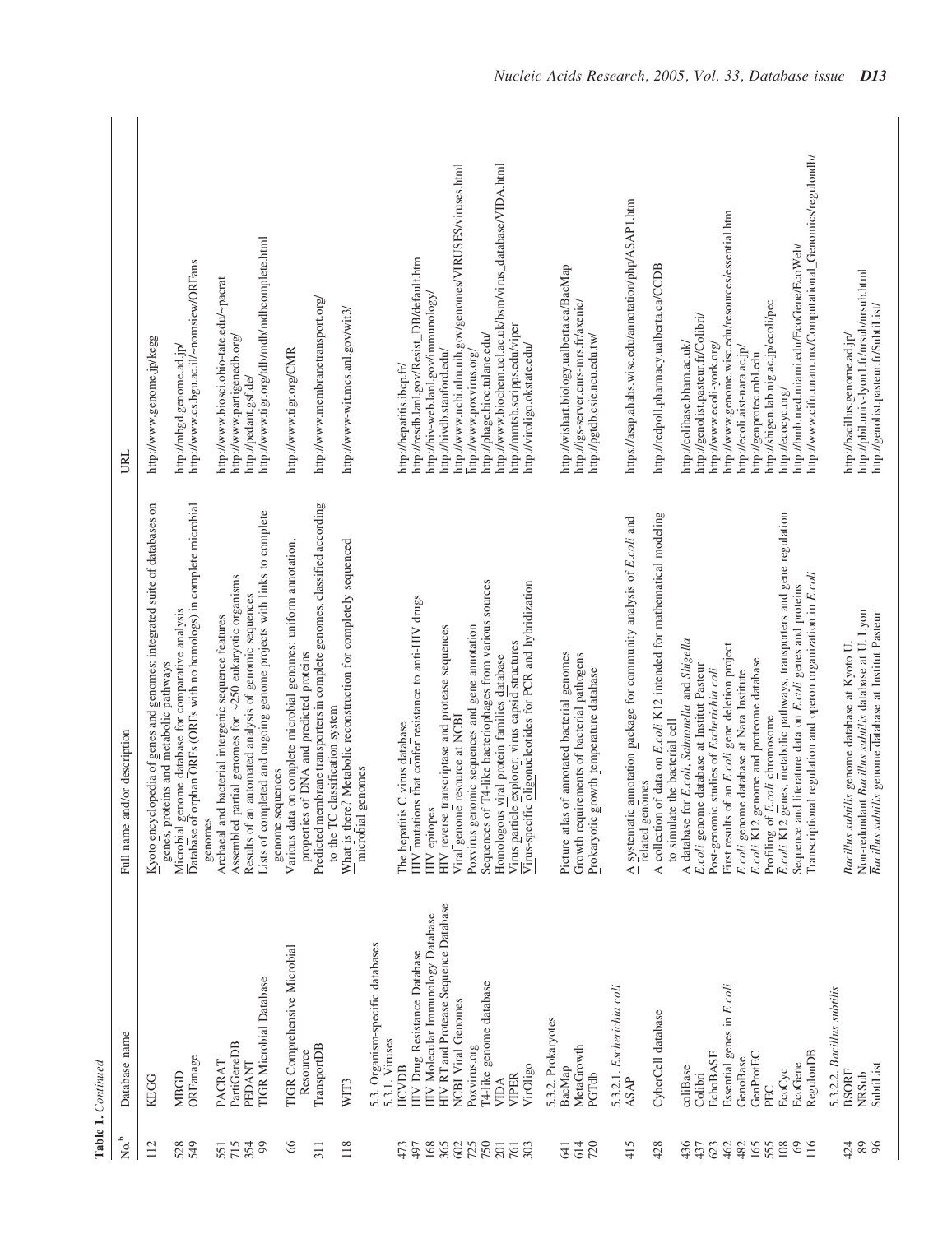|                            | Table 1. Continued                                                       |                                                                                                                                                                                                                         |                                                                                                                                                              |
|----------------------------|--------------------------------------------------------------------------|-------------------------------------------------------------------------------------------------------------------------------------------------------------------------------------------------------------------------|--------------------------------------------------------------------------------------------------------------------------------------------------------------|
| $\mathrm{No}^{\mathrm{b}}$ | Database name                                                            | Full name and/or description                                                                                                                                                                                            | URL                                                                                                                                                          |
| 112                        | KEGG                                                                     | Kyoto encyclopedia of genes and genomes: integrated suite of databases on<br>genes, proteins and metabolic pathways                                                                                                     | http://www.genome.jp/kegg                                                                                                                                    |
| 549<br>528                 | ORFanage<br><b>MBGD</b>                                                  | Database of orphan ORFs (ORFs with no homologs) in complete microbial<br>Microbial genome database for comparative analysis                                                                                             | http://www.cs.bgu.ac.il/~nomsiew/ORFans<br>http://mbgd.genome.ad.jp/                                                                                         |
| 551<br>715<br>354          | PartiGeneDB<br>PACRAT<br>PEDANT                                          | Assembled partial genomes for ~250 eukaryotic organisms<br>automated analysis of genomic sequences<br>Archaeal and bacterial intergenic sequence features<br>Results of an<br>genomes                                   | http://www.biosci.ohio-tate.edu/~pacrat<br>http://www.partigenedb.org/<br>http://pedant.gsf.de/                                                              |
| 99                         | <b>TIGR Microbial Database</b>                                           | Lists of completed and ongoing genome projects with links to complete                                                                                                                                                   | http://www.tigr.org/tdb/mdb/mdbcomplete.html                                                                                                                 |
| 66                         | TIGR Comprehensive Microbial                                             | Various data on complete microbial genomes: uniform annotation,<br>genome sequences                                                                                                                                     | http://www.tigr.org/CMR                                                                                                                                      |
| 311                        | TransportDB<br>Resource                                                  | Predicted membrane transporters in complete genomes, classified according<br>properties of DNA and predicted proteins                                                                                                   | http://www.membranetransport.org/                                                                                                                            |
| 118                        | WIT3                                                                     | What is there? Metabolic reconstruction for completely sequenced<br>to the TC classification system<br>microbial genomes                                                                                                | http://www-wit.mcs.anl.gov/wit3/                                                                                                                             |
|                            | 5.3. Organism-specific databases<br>5.3.1. Viruses                       |                                                                                                                                                                                                                         |                                                                                                                                                              |
| 473<br>497                 | HIV Drug Resistance Database<br><b>HCVDB</b>                             | HIV mutations that confer resistance to anti-HIV drugs<br>C virus database<br>The hepatitis                                                                                                                             | http://resdb.lanl.gov/Resist_DB/default.htm<br>http://hepatitis.ibcp.fr/                                                                                     |
| 168                        | HIV Molecular Immunology Database                                        | HIV epitopes                                                                                                                                                                                                            | http://hiv-web.lanl.gov/immunology/                                                                                                                          |
| 365<br>602                 | HIV RT and Protease Sequence Database<br><b>NCBI Viral Genomes</b>       | HIV reverse transcriptase and protease sequences<br>Viral genome resource at NCBI                                                                                                                                       | http://www.ncbi.nlm.nih.gov/genomes/VIRUSES/viruses.html<br>http://hivdb.stanford.edu/                                                                       |
| 725<br>750                 | Poxvirus.org                                                             | Poxvirus genomic sequences and gene annotation                                                                                                                                                                          | http://www.poxvirus.org/                                                                                                                                     |
| 201<br>761<br>303          | T4-like genome database<br>VirOligo<br>VIPER<br><b>NIDA</b>              | Sequences of T4-like bacteriophages from various sources<br>Virus-specific oligonucleotides for PCR and hybridization<br>Virus particle explorer: virus capsid structures<br>Homologous viral protein families database | http://www.biochem.ucl.ac.uk/bsm/virus_database/VIDA.html<br>http://mmtsb.scripps.edu/viper<br>http://phage.bioc.tulane.edu/<br>http://viroligo.okstate.edu/ |
| 641                        | 5.3.2. Prokaryotes<br>BacMap                                             | of annotated bacterial genomes<br>Picture atlas                                                                                                                                                                         | http://wishart.biology.ualberta.ca/BacMap                                                                                                                    |
| 614<br>720                 | MetaGrowth<br>PGTdb                                                      | Growth requirements of bacterial pathogens<br>Prokaryotic growth temperature database                                                                                                                                   | http://igs-server.cnrs-mrs.fr/axenic/<br>http://pgtdb.csie.ncu.edu.tw/                                                                                       |
| 415                        | 5.3.2.1. Escherichia coli<br>ASAP                                        | annotation package for community analysis of E.coli and<br>A systematic                                                                                                                                                 | https://asap.ahabs.wisc.edu/annotation/php/ASAP1.htm                                                                                                         |
| 428                        | CyberCell database                                                       | A collection of data on E.coli K12 intended for mathematical modeling<br>related genomes                                                                                                                                | http://redpoll.pharmacy.ualberta.ca/CCDB                                                                                                                     |
| 436                        | coliBase                                                                 | to simulate the bacterial cell                                                                                                                                                                                          | http://colibase.bham.ac.uk/                                                                                                                                  |
| 437                        | Colibri                                                                  | A database for E.coli, Salmonella and Shigella<br>E.coli genome database at Institut Pasteur                                                                                                                            | http://genolist.pasteur.fr/Colibri/                                                                                                                          |
| 623<br>462                 | Essential genes in E.coli<br><b>EchoBASE</b>                             | First results of an E.coli gene deletion project<br>Post-genomic studies of Escherichia coli                                                                                                                            | http://www.genome.wisc.edu/resources/essential.htm<br>http://www.ecoli-york.org/                                                                             |
| 165<br>482                 | GenProtEC<br>GenoBase                                                    | E.coli genome database at Nara Institute                                                                                                                                                                                | http://ecoli.aist-nara.ac.jp/<br>http://genprotec.mbl.edu                                                                                                    |
| 555<br>108                 | EcoCyc<br>PEC                                                            | <i>E.coli</i> K12 genome and proteome database<br>Profiling of <i>E.coli</i> chromosome<br><i>E.coli</i> K12 genes, metabolic pathways, transporters and gene regulation                                                | http://shigen.lab.nig.ac.jp/ecoli/pec<br>http://ecocyc.org/                                                                                                  |
| $69$<br>116                | RegulonDB<br>EcoGene                                                     | Transcriptional regulation and operon organization in E.coli<br>Sequence and literature data on E.coli genes and proteins                                                                                               | http://www.cifn.unam.mx/Computational_Genomics/regulondb/<br>http://bmb.med.miami.edu/EcoGene/EcoWeb/                                                        |
| $\,89$<br>424<br>96        | 5.3.2.2. Bacillus subtilis<br>SubtiList<br><b>BSORF</b><br><b>NR Sub</b> | Non-redundant Bacillus subtilis database at U. Lyon<br>Bacillus subtilis genome database at Institut Pasteur<br>Bacillus subtilis genome database at Kyoto U.                                                           | http://pbil.univ-lyon1.fr/nrsub/nrsub.html<br>http://genolist.pasteur.fr/SubtiList/<br>http://bacillus.genome.ad.jp/                                         |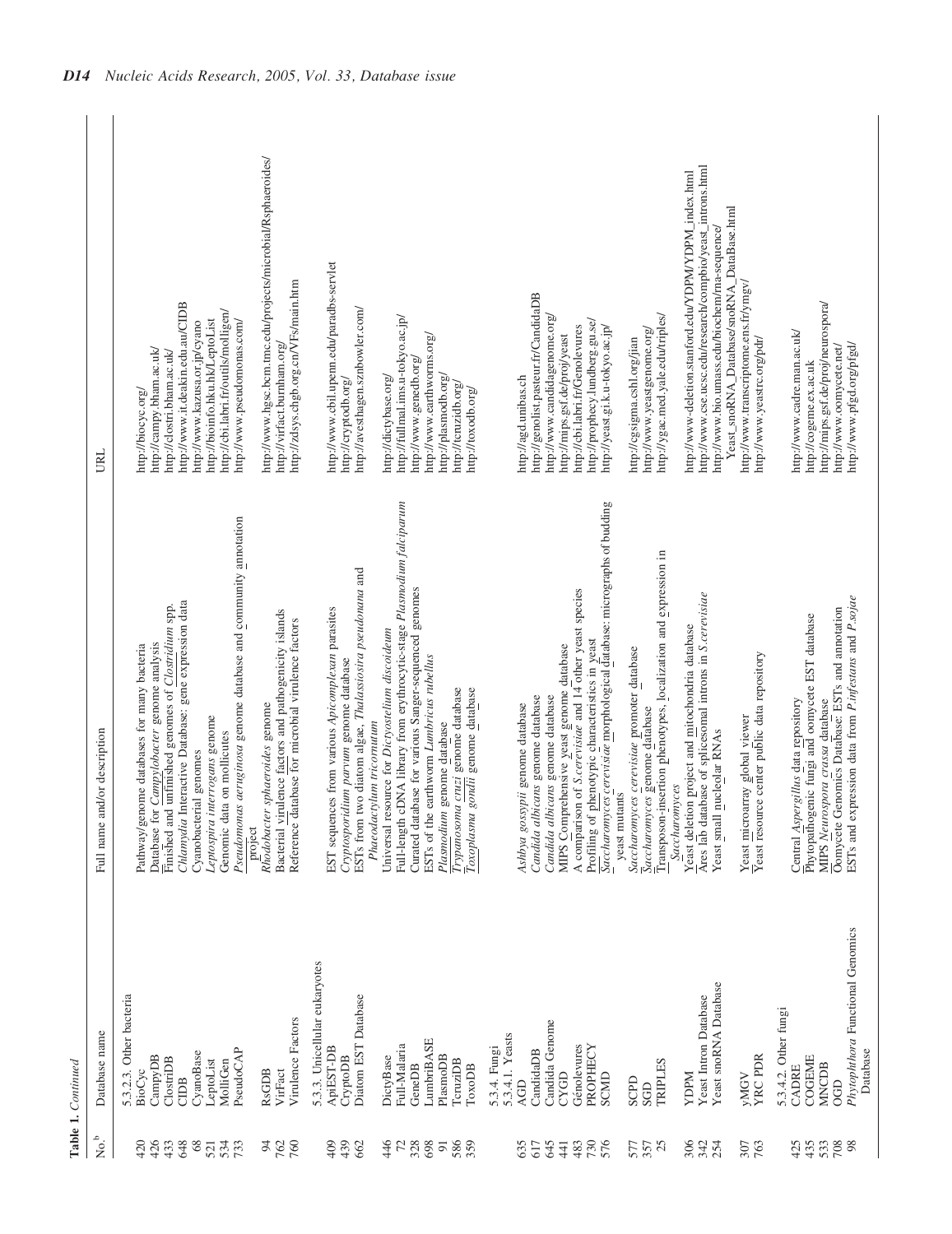|                                                         | Table 1. Continued                                                                                                      |                                                                                                                                                                                                                                                                                                                                                                              |                                                                                                                                                                                                                                                             |
|---------------------------------------------------------|-------------------------------------------------------------------------------------------------------------------------|------------------------------------------------------------------------------------------------------------------------------------------------------------------------------------------------------------------------------------------------------------------------------------------------------------------------------------------------------------------------------|-------------------------------------------------------------------------------------------------------------------------------------------------------------------------------------------------------------------------------------------------------------|
| $\mathrm{No.}^{\mathrm{b}}$                             | Database name                                                                                                           | d/or description<br>Full name an                                                                                                                                                                                                                                                                                                                                             | URL                                                                                                                                                                                                                                                         |
| 426<br>648<br>$68\,$<br>420<br>433<br>534<br>521<br>733 | 5.3.2.3. Other bacteria<br>PseudoCAP<br>CyanoBase<br>CampyDB<br>ClostriDB<br>LeptoList<br>MolliGen<br>BioCyc<br>CIDB    | aeruginosa genome database and community annotation<br>Chlamydia Interactive Database: gene expression data<br>unfinished genomes of Clostridium spp.<br>Campylobacter genome analysis<br>Pathway/genome databases for many bacteria<br>Leptospira interrogans genome<br>Genomic data on mollicutes<br>Cyanobacterial genomes<br>Pseudomonas<br>Finished and<br>Database for | http://www.it.deakin.edu.au/CIDB<br>http://cbi.labri.fr/outils/molligen/<br>http://bioinfo.hku.hk/LeptoList<br>http://www.kazusa.or.jp/cyano<br>http://www.pseudomonas.com/<br>http://campy.bham.ac.uk/<br>http://clostri.bham.ac.uk/<br>http://biocyc.org/ |
| 760<br>94<br>762                                        | Virulence Factors<br>RsGDB<br>VirFact                                                                                   | Bacterial virulence factors and pathogenicity islands<br>Reference database for microbial virulence factors<br>sphaeroides genome<br>Rhodobacter<br>project                                                                                                                                                                                                                  | http://www.hgsc.bcm.tmc.edu/projects/microbial/Rsphaeroides/<br>http://zdsys.chgb.org.cn/VFs/main.htm<br>http://virfact.burnham.org/                                                                                                                        |
| 439<br>$rac{409}{20}$<br>662                            | 5.3.3. Unicellular eukaryotes<br>Diatom EST Database<br>ApiEST-DB<br>CryptoDB                                           | ESTs from two diatom algae, Thalassiosira pseudonana and<br>EST sequences from various Apicomplexan parasites<br>Cryptosporidium parvum genome database                                                                                                                                                                                                                      | http://www.cbil.upenn.edu/paradbs-servlet<br>http://avesthagen.sznbowler.com/<br>http://cryptodb.org/                                                                                                                                                       |
| 46<br>328<br>586<br>698<br>359<br>72<br>$\overline{5}$  | LumbriBASE<br>Full-Malaria<br>PlasmoDB<br>DictyBase<br>TeruziDB<br>GeneDB<br>ToxoDB                                     | Full-length cDNA library from erythrocytic-stage Plasmodium falciparum<br>Curated database for various Sanger-sequenced genomes<br>Universal resource for Dictyostelium discoideum<br>ESTs of the earthworm Lumbricus rubellus<br>cruzi genome database<br>Toxoplasma gondii genome database<br>Phaeodactylum tricornutum<br>Plasmodium genome database<br>$I$ rypanosoma    | http://fullmal.ims.u-tokyo.ac.jp/<br>http://www.earthworms.org/<br>http://www.genedb.org/<br>http://plasmodb.org/<br>http://dictybase.org/<br>http://tcruzidb.org/<br>http://toxodb.org/                                                                    |
| 645<br>483<br>730<br>635<br>617<br>576<br>41            | Candida Genome<br>5.3.4.1. Yeasts<br>PROPHECY<br>Génolevures<br>5.3.4. Fungi<br>CandidaDB<br>CYGD<br>SCMD<br><b>AGD</b> | Saccharomyces cerevisiae morphological database: micrographs of budding<br>A comparison of S.cerevisiae and 14 other yeast species<br>Profiling of phenotypic characteristics in yeast<br>MIPS Comprehensive yeast genome database<br>Candida albicans genome database<br>Candida albicans genome database<br>Ashbya gossypii genome database<br>yeast mutants               | http://genolist.pasteur.fr/CandidaDB<br>http://www.candidagenome.org/<br>http://prophecy.lundberg.gu.se/<br>http://cbi.labri.fr/Genolevures<br>http://yeast.gi.k.u-tokyo.ac.jp/<br>http://mips.gsf.de/proj/yeast<br>http://agd.unibas.ch                    |
| 577<br>357<br>25                                        | TRIPLES<br>SCPD<br>SGD                                                                                                  | Transposon-insertion phenotypes, localization and expression in<br>Saccharomyces cerevisiae promoter database<br>Saccharomyces genome database                                                                                                                                                                                                                               | http://ygac.med.yale.edu/triples/<br>http://www.yeastgenome.org/<br>http://cgsigma.cshl.org/jian                                                                                                                                                            |
| 306<br>342<br>254                                       | Yeast snoRNA Database<br>Yeast Intron Database<br>MACK                                                                  | Ares lab database of splicesomal introns in S.cerevisiae<br>Yeast deletion project and mitochondria database<br>Yeast small nucleolar RNAs<br>Saccharomyces                                                                                                                                                                                                                  | http://www.cse.ucsc.edu/research/compbio/yeast_introns.html<br>http://www-deletion.stanford.edu/YDPM/YDPM_index.html<br>Yeast_snoRNA_Database/snoRNA_DataBase.html<br>http://www.bio.umass.edu/biochem/rna-sequence/                                        |
| 307<br>763                                              | YRC PDR<br>yMGV                                                                                                         | Yeast resource center public data repository<br>Yeast microarray global viewer                                                                                                                                                                                                                                                                                               | http://www.transcriptome.ens.fr/ymgv/<br>http://www.yeastrc.org/pdr/                                                                                                                                                                                        |
| 435<br>708<br>425<br>533<br>98                          | Phytophthora Functional Genomics<br>5.3.4.2. Other fungi<br>Database<br>COGEME<br><b>MNCDB</b><br>CADRE<br><b>OGD</b>   | ESTs and expression data from <i>P.infestans</i> and <i>P.sojae</i><br>Oomycete Genomics Database: ESTs and annotation<br>Phytopathogenic fungi and oomycete EST database<br>Central Aspergillus data repository<br>MIPS Neurospora crassa database                                                                                                                          | http://mips.gsf.de/proj/neurospora/<br>http://www.cadre.man.ac.uk/<br>http://www.pfgd.org/pfgd/<br>http://www.oomycete.net/<br>http://cogeme.ex.ac.uk                                                                                                       |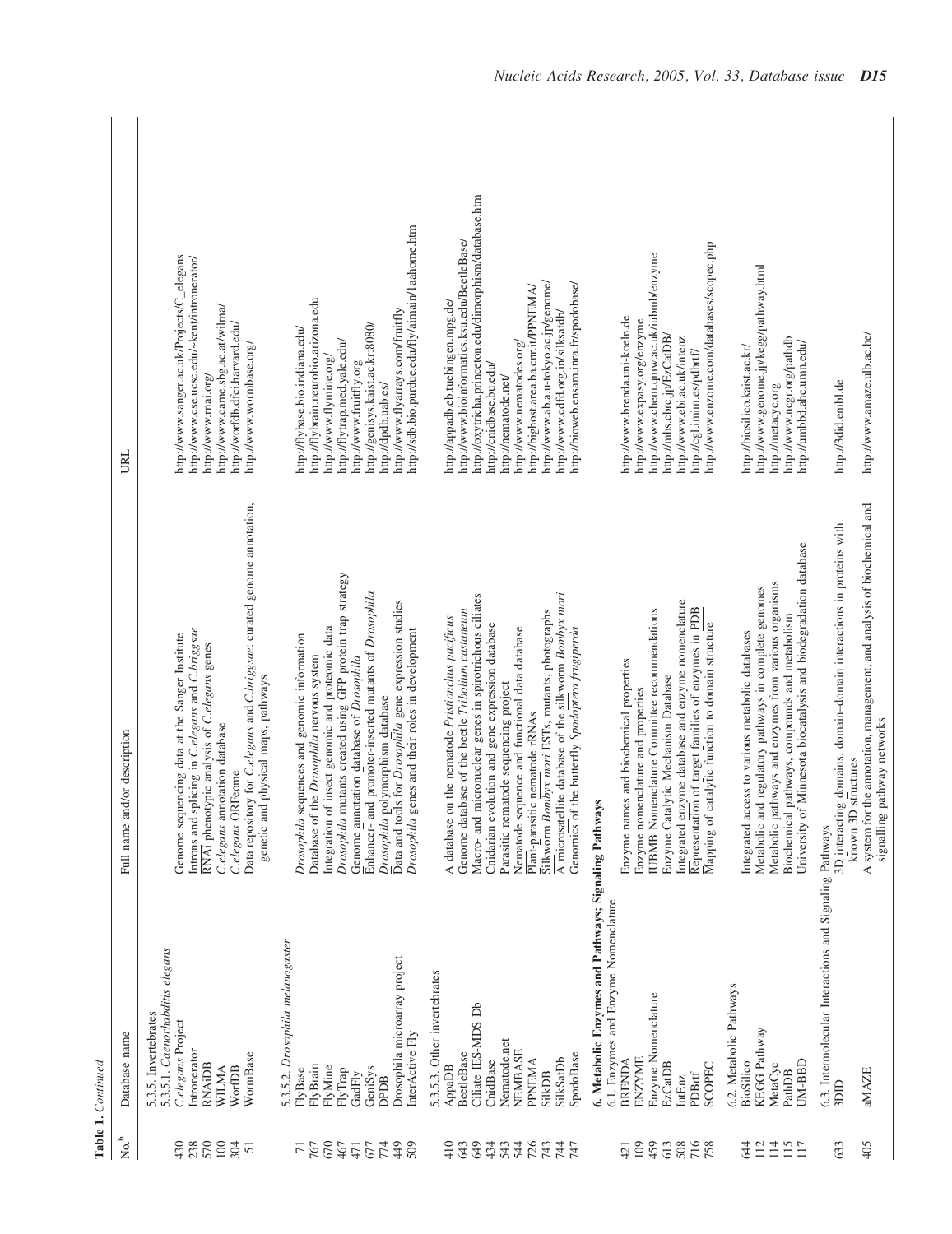|                                                                 | Table 1. Continued                                                                                                                                                                |                                                                                                                                                                                                                                                                                                                                                                                                                                                                                                                   |                                                                                                                                                                                                                                                                                                                                                                                                |
|-----------------------------------------------------------------|-----------------------------------------------------------------------------------------------------------------------------------------------------------------------------------|-------------------------------------------------------------------------------------------------------------------------------------------------------------------------------------------------------------------------------------------------------------------------------------------------------------------------------------------------------------------------------------------------------------------------------------------------------------------------------------------------------------------|------------------------------------------------------------------------------------------------------------------------------------------------------------------------------------------------------------------------------------------------------------------------------------------------------------------------------------------------------------------------------------------------|
| $\mathop{\rm No}\nolimits^{\mathfrak b}$                        | Database name                                                                                                                                                                     | Full name and/or description                                                                                                                                                                                                                                                                                                                                                                                                                                                                                      | URL                                                                                                                                                                                                                                                                                                                                                                                            |
| 570<br>100<br>238<br>304<br>430<br>51                           | 5.3.5.1. Caenorhabditis elegans<br>5.3.5. Invertebrates<br>C.elegans Project<br>Intronerator<br>WormBase<br>RNAIDB<br>WorfDB<br><b>WILMA</b>                                      | Data repository for C.elegans and C.briggsae: curated genome annotation,<br>Genome sequencing data at the Sanger Institute<br>Introns and splicing in $C$ .elegans and $C$ .briggsae<br>RNAi phenotypic analysis of C.elegans genes<br>genetic and physical maps, pathways<br>C.elegans annotation database<br>C.elegans ORFeome                                                                                                                                                                                  | http://www.sanger.ac.uk/Projects/C_elegans<br>http://www.cse.ucsc.edu/~kent/intronerator/<br>http://www.came.sbg.ac.at/wilma/<br>http://worfdb.dfci.harvard.edu/<br>http://www.wormbase.org/<br>http://www.rnai.org/                                                                                                                                                                           |
| 767<br>670<br>467<br>774<br>449<br>471<br>509<br>$\overline{r}$ | 5.3.5.2. Drosophila melanogaster<br>Drosophila microarray project<br>InterActive Fly<br>FlyBrain<br>FlyMine<br>GeniSys<br>$\rm FlyTrap$<br>FlyBase<br>GadFly<br><b>DPDB</b>       | Drosophila mutants created using GFP protein trap strategy<br>Enhancer- and promoter-inserted mutants of Drosophila<br>Data and tools for <i>Drosophila</i> gene expression studies<br>Integration of insect genomic and proteomic data<br>Drosophila genes and their roles in development<br>Drosophila sequences and genomic information<br>Database of the Drosophila nervous system<br>Genome annotation database of Drosophila<br>Drosophila polymorphism database                                           | http://sdb.bio.purdue.edu/fly/aimain/1aahome.htm<br>http://flybrain.neurobio.arizona.edu<br>http://www.flyarrays.com/fruitfly<br>http://genisys.kaist.ac.kr:8080/<br>http://flybase.bio.indiana.edu/<br>http://flytrap.med.yale.edu/<br>http://www.flymine.org/<br>http://www.fruitfly.org<br>http://dpdb.uab.es/                                                                              |
| 649<br>434<br>544<br>726<br>410<br>643<br>543<br>744<br>747     | 5.3.5.3. Other invertebrates<br>Ciliate IES-MDS Db<br>Nematode.net<br>NEMBASE<br><b>BeetleBase</b><br>SpodoBase<br>SilkSatDb<br>CnidBase<br>PPNEMA<br>AppaDB<br><b>SilkDB</b>     | A microsatellite database of the silkworm Bombyx mori<br>Macro- and micronuclear genes in spirotrichous ciliates<br>Genome database of the beetle Tribolium castaneum<br>Silkworm Bombyx mori ESTs, mutants, photographs<br>A database on the nematode Pristionchus pacificus<br>Cnidarian evolution and gene expression database<br>Nematode sequence and functional data database<br>Genomics of the butterfly Spodoptera frugiperda<br>Parasitic nematode sequencing project<br>Plant-parasitic nematode rRNAs | http://oxytricha.princeton.edu/dimorphism/database.htm<br>http://www.bioinformatics.ksu.edu/BeetleBase/<br>http://www.ab.a.u-tokyo.ac.jp/genome/<br>http://bioweb.ensam.inra.fr/spodobase/<br>http://bighost.area.ba.cnr.it/PPNEMA/<br>http://appadb.eb.tuebingen.mpg.de/<br>http://www.cdfd.org.in/silksatdb/<br>http://www.nematodes.org/<br>http://cnidbase.bu.edu/<br>http://nematode.net/ |
| 459<br>758<br>109<br>613<br>508<br>421                          | 6. Metabolic Enzymes and Pathways; Signaling Pathways<br>6.1. Enzymes and Enzyme Nomenclature<br>Enzyme Nomenclature<br>ENZYME<br>BRENDA<br>EzCatDB<br>SCOPEC<br>PDBrtf<br>IntEnz | Integrated enzyme database and enzyme nomenclature<br>Representation of target families of enzymes in PDB<br>IUBMB Nomenclature Committee recommendations<br>catalytic function to domain structure<br>Enzyme names and biochemical properties<br>Enzyme Catalytic Mechanism Database<br>Enzyme nomenclature and properties<br>Mapping of                                                                                                                                                                         | http://www.enzome.com/databases/scopec.php<br>http://www.chem.qmw.ac.uk/iubmb/enzyme<br>http://www.brenda.uni-koeln.de<br>http://www.expasy.org/enzyme<br>http://mbs.cbrc.jp/EzCatDB/<br>http://www.ebi.ac.uk/intenz<br>http://cgl.imim.es/pdbrtf/                                                                                                                                             |
| 644<br>112<br>114<br>$\frac{115}{117}$                          | 6.2. Metabolic Pathways<br>KEGG Pathway<br><b>UM-BBD</b><br>BioSilico<br>MetaCyc<br>PathDB                                                                                        | University of Minnesota biocatalysis and biodegradation database<br>Metabolic pathways and enzymes from various organisms<br>Metabolic and regulatory pathways in complete genomes<br>pathways, compounds and metabolism<br>Integrated access to various metabolic databases<br>Biochemical                                                                                                                                                                                                                       | http://www.genome.jp/kegg/pathway.html<br>http://www.ncgr.org/pathdb<br>http://umbbd.ahc.umn.edu/<br>http://biosilico.kaist.ac.kr/<br>http://metacyc.org                                                                                                                                                                                                                                       |
| 633<br>405                                                      | 6.3. Intermolecular Interactions and Signaling Pathways<br>aMAZE<br>3DID                                                                                                          | the annotation, management, and analysis of biochemical and<br>g domains: domain-domain interactions in proteins with<br>signalling pathway networks<br>structures<br>3D interactin<br>known 3D<br>A system for                                                                                                                                                                                                                                                                                                   | http://www.amaze.ulb.ac.be/<br>http://3did.embl.de                                                                                                                                                                                                                                                                                                                                             |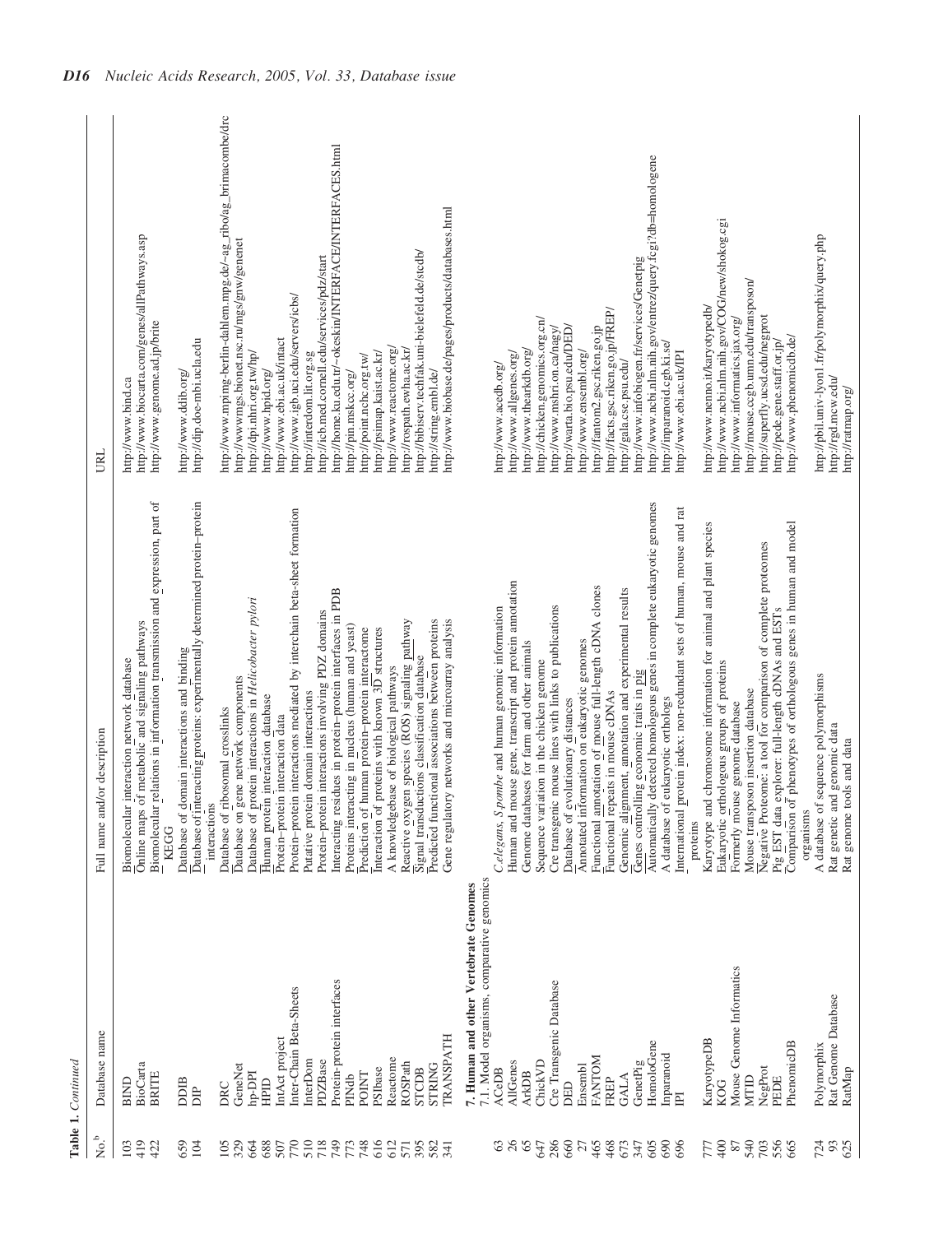|                            | Table 1. Continued                                                                  |                                                                                                                                                                                                 |                                                                                                           |
|----------------------------|-------------------------------------------------------------------------------------|-------------------------------------------------------------------------------------------------------------------------------------------------------------------------------------------------|-----------------------------------------------------------------------------------------------------------|
| $\mathrm{No}^{\mathrm{b}}$ | Database name                                                                       | Full name and/or description                                                                                                                                                                    | B                                                                                                         |
| 419<br>103<br>422          | <b>BioCarta</b><br><b>BRITE</b><br>BIND                                             | relations in information transmission and expression, part of<br>Online maps of metabolic and signaling pathways<br>interaction network database<br>Biomolecular<br>Biomolecular<br><b>KEGG</b> | http://www.biocarta.com/genes/allPathways.asp<br>http://www.genome.ad.jp/brite<br>http://www.bind.ca      |
| 659<br>104                 | DDIB<br>DIP                                                                         | Database of interacting proteins: experimentally determined protein-protein<br>Database of domain interactions and binding                                                                      | http://dip.doe-mbi.ucla.edu<br>http://www.ddib.org/                                                       |
| 105                        | DRC                                                                                 | Database of ribosomal crosslinks<br>interactions                                                                                                                                                | http://www.mpimg-berlin-dahlem.mpg.de/~ag_ribo/ag_brimacombe/drc                                          |
| 664<br>329                 | GeneNet<br>hp-DPI                                                                   | Database on gene network components<br>Database of protein interactions in Helicobacter pylori                                                                                                  | http://wwwmgs.bionet.nsc.ru/mgs/gnw/genenet<br>http://dpi.nhri.org.tw/hp/                                 |
| 688                        | HPID                                                                                | Human protein interaction database                                                                                                                                                              | http://www.hpid.org/                                                                                      |
| 770<br>507                 | Inter-Chain Beta-Sheets<br>IntAct project                                           | Protein-protein interactions mediated by interchain beta-sheet formation<br>Protein-protein interaction data                                                                                    | http://www.igb.uci.edu/servers/icbs/<br>http://www.ebi.ac.uk/intact                                       |
| 510<br>718                 | InterDom<br>PDZBase                                                                 | Protein-protein interactions involving PDZ domains<br>Putative protein domain interactions                                                                                                      | http://icb.med.cornell.edu/services/pdz/start<br>http://interdom.lit.org.sg                               |
| 749                        | Protein-protein interfaces                                                          | Interacting residues in protein-protein interfaces in PDB                                                                                                                                       | http://home.ku.edu.tr/~okeskin/INTERFACE/INTERFACES.html                                                  |
| 773<br>748                 | POINT<br>PINdb                                                                      | Proteins interacting in nucleus (human and yeast)<br>human protein-protein interactome<br>Prediction of 1                                                                                       | http://point.nchc.org.tw/<br>http://pin.mskcc.org/                                                        |
| 616<br>612                 | PSIbase                                                                             | proteins with known 3D structures<br>Interaction of                                                                                                                                             | http://psimap.kaist.ac.kr/                                                                                |
| 571                        | Reactome<br>ROSPath                                                                 | Reactive oxygen species (ROS) signaling pathway<br>A knowledgebase of biological pathways                                                                                                       | http://www.reactome.org/<br>http://rospath.ewha.ac.kr/                                                    |
| 395                        | STCDB                                                                               | Signal transductions classification database                                                                                                                                                    | http://bibiserv.techfak.uni-bielefeld.de/stcdb/                                                           |
| 582<br>341                 | TRANSPATH<br><b>STRING</b>                                                          | Gene regulatory networks and microarray analysis<br>Predicted functional associations between proteins                                                                                          | http://www.biobase.de/pages/products/databases.html<br>http://string.embl.de/                             |
|                            | 7.1. Model organisms, comparative genomics<br>7. Human and other Vertebrate Genomes |                                                                                                                                                                                                 |                                                                                                           |
|                            | <b>ACeDB</b>                                                                        | C.elegans, S.pombe and human genomic information                                                                                                                                                | http://www.acedb.org/                                                                                     |
| 26                         | <b>AllGenes</b>                                                                     | Human and mouse gene, transcript and protein annotation                                                                                                                                         | http://www.allgenes.org/                                                                                  |
| 65<br>647                  | Chick VD<br><b>ArkDB</b>                                                            | Genome databases for farm and other animals<br>Sequence variation in the chicken genome                                                                                                         | http://chicken.genomics.org.cn/<br>http://www.thearkdb.org/                                               |
| 286                        | Cre Transgenic Database                                                             | Cre transgenic mouse lines with links to publications                                                                                                                                           | http://www.mshri.on.ca/nagy/                                                                              |
| 660                        | DED                                                                                 | Database of evolutionary distances                                                                                                                                                              | http://warta.bio.psu.edu/DED/                                                                             |
| 465<br>27                  | FANTOM<br>Ensembl                                                                   | Functional annotation of mouse full-length cDNA clones<br>Annotated information on eukaryotic genomes                                                                                           | http://fantom2.gsc.riken.go.jp<br>http://www.ensembl.org/                                                 |
| 468                        | <b>FREP</b>                                                                         | Functional repeats in mouse cDNAs                                                                                                                                                               | http://facts.gsc.riken.go.jp/FREP/                                                                        |
| 673                        | <b>GALA</b>                                                                         | Genomic alignment, annotation and experimental results                                                                                                                                          | http://gala.cse.psu.edu/                                                                                  |
| 605<br>347                 | HomoloGene<br>GenetPig                                                              | Automatically detected homologous genes in complete eukaryotic genomes<br>Genes controlling economic traits in pig                                                                              | http://www.ncbi.nlm.nih.gov/entrez/query.fcgi?db=homologene<br>http://www.infobiogen.fr/services/Genetpig |
| 690                        | Inparanoid                                                                          | eukaryotic orthologs<br>A database of                                                                                                                                                           | http://inparanoid.cgb.ki.se/                                                                              |
| 696                        | 百                                                                                   | International protein index: non-redundant sets of human, mouse and rat<br>proteins                                                                                                             | http://www.ebi.ac.uk/IPI                                                                                  |
| 777                        | KaryotypeDB                                                                         | Karyotype and chromosome information for animal and plant species                                                                                                                               | http://www.nenno.it/karyotypedb/                                                                          |
| 400<br>$87\,$              | Mouse Genome Informatics<br>KOG                                                     | Eukaryotic orthologous groups of proteins<br>Formerly mouse genome database                                                                                                                     | http://www.ncbi.nlm.nih.gov/COG/new/shokog.cgi<br>http://www.informatics.jax.org/                         |
| 540                        | MTID                                                                                | Mouse transposon insertion database                                                                                                                                                             | http://mouse.ccgb.umn.edu/transposon/                                                                     |
| 703<br>556                 | NegProt<br>PEDE                                                                     | Negative Proteome: a tool for comparison of complete proteomes<br>Pig EST data explorer: full-length cDNAs and ESTs                                                                             | http://superfly.ucsd.edu/negprot                                                                          |
| 665                        | PhenomicDB                                                                          | Comparison of phenotypes of orthologous genes in human and model                                                                                                                                | http://www.phenomicdb.de/<br>http://pede.gene.staff.or.jp/                                                |
| 724                        | Polymorphix                                                                         | sequence polymorphisms<br>A database of<br>organisms                                                                                                                                            | http://pbil.univ-lyon1.fr/polymorphix/query.php                                                           |
| 93<br>625                  | Rat Genome Database<br>RatMap                                                       | Rat genetic and genomic data<br>Rat genome tools and data                                                                                                                                       | http://rgd.mcw.edu/<br>http://ratmap.org/                                                                 |
|                            |                                                                                     |                                                                                                                                                                                                 |                                                                                                           |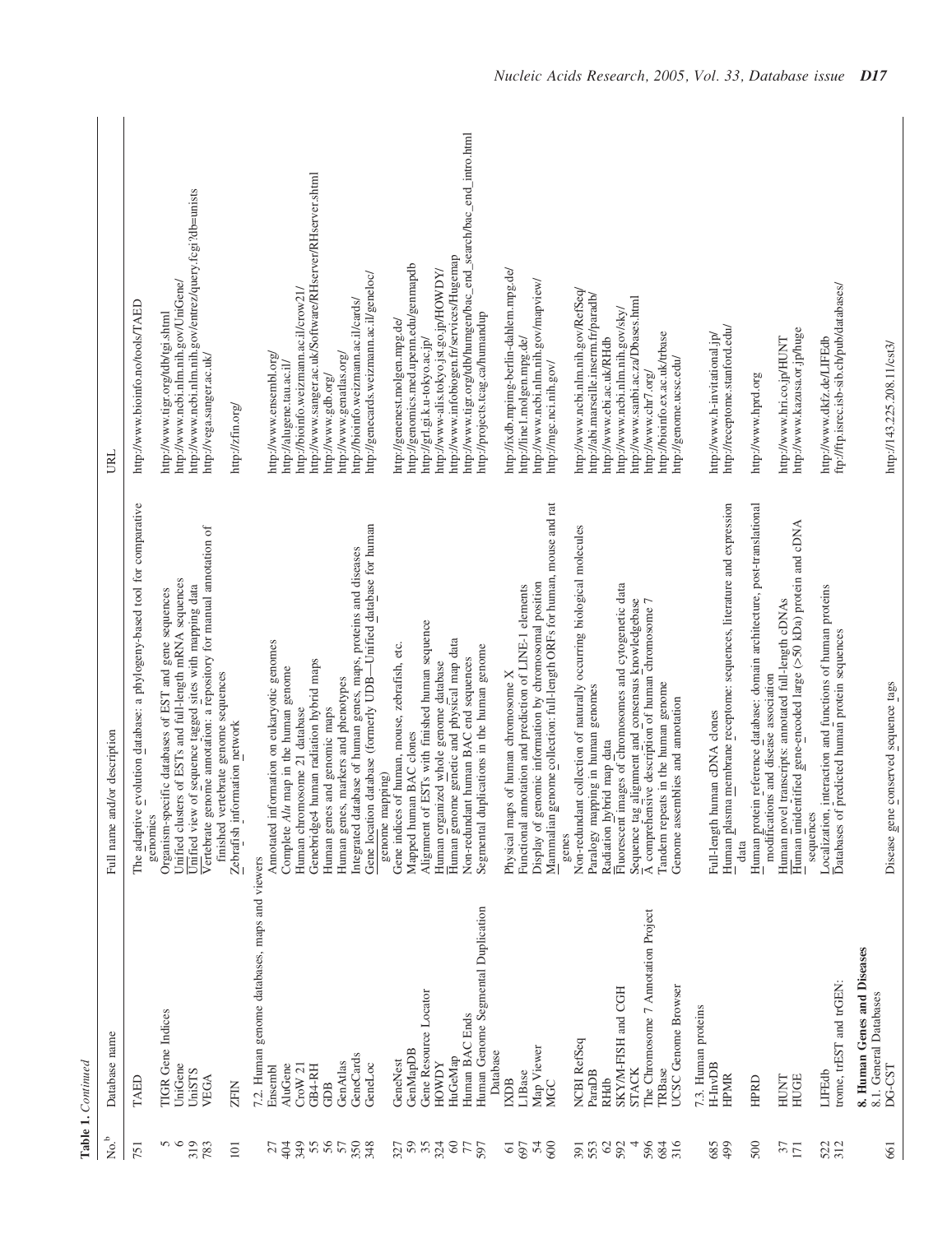|                            | Table 1. Continued                                                   |                                                                                                                                                                                                                                                    |                                                                                                                                                                   |
|----------------------------|----------------------------------------------------------------------|----------------------------------------------------------------------------------------------------------------------------------------------------------------------------------------------------------------------------------------------------|-------------------------------------------------------------------------------------------------------------------------------------------------------------------|
| $\mathrm{No}^{\mathrm{b}}$ | Database name                                                        | Full name and/or description                                                                                                                                                                                                                       | E                                                                                                                                                                 |
| 751                        | TAED                                                                 | evolution database: a phylogeny-based tool for comparative<br>The adaptive<br>genomics                                                                                                                                                             | http://www.bioinfo.no/tools/TAED                                                                                                                                  |
| 5<br>319<br>$\circ$<br>783 | <b>TIGR</b> Gene Indices<br>UniGene<br>UniSTS<br>VEGA                | Vertebrate genome annotation: a repository for manual annotation of<br>Unified clusters of ESTs and full-length mRNA sequences<br>Unified view of sequence tagged sites with mapping data<br>Organism-specific databases of EST and gene sequences | http://www.ncbi.nlm.nih.gov/entrez/query.fcgi?db=unists<br>http://www.ncbi.nlm.nih.gov/UniGene/<br>http://www.tigr.org/tdb/tgi.shtml<br>http://vega.sanger.ac.uk/ |
| 101                        | <b>ZFIN</b>                                                          | finished vertebrate genome sequences<br>Zebrafish information network                                                                                                                                                                              | http://zfin.org/                                                                                                                                                  |
|                            | 7.2. Human genome databases, maps and viewers                        |                                                                                                                                                                                                                                                    |                                                                                                                                                                   |
| 27                         | Ensembl                                                              | Annotated information on eukaryotic genomes                                                                                                                                                                                                        | http://www.ensembl.org/                                                                                                                                           |
| 349<br>404                 | AluGene<br>$C_{\rm TO}$ W $21$                                       | map in the human genome<br>Human chromosome 21 database<br>Complete Alu                                                                                                                                                                            | http://bioinfo.weizmann.ac.il/crow21/<br>http://alugene.tau.ac.il/                                                                                                |
| 55                         | GB4-RH                                                               | human radiation hybrid maps<br>Genebridge <sup>4</sup>                                                                                                                                                                                             | http://www.sanger.ac.uk/Software/RHserver/RHserver.shtml                                                                                                          |
| 56                         | GenAtlas<br>GDB                                                      | Human genes, markers and phenotypes<br>and genomic maps<br>Human genes                                                                                                                                                                             | http://www.gdb.org/                                                                                                                                               |
| 57<br>350<br>348           | GeneCards<br>GeneLoc                                                 | database (formerly UDB-Unified database for human<br>Integrated database of human genes, maps, proteins and diseases<br>Gene location                                                                                                              | http://genecards.weizmann.ac.il/geneloc/<br>http://bioinfo.weizmann.ac.il/cards/<br>http://www.genatlas.org/                                                      |
|                            |                                                                      | genome mapping)                                                                                                                                                                                                                                    |                                                                                                                                                                   |
|                            | GenMapDB<br>GeneNest                                                 | of human, mouse, zebrafish, etc.<br>Mapped human BAC clones<br>Gene indices                                                                                                                                                                        | http://genenest.molgen.mpg.de/                                                                                                                                    |
|                            | Gene Resource Locator                                                | ESTs with finished human sequence<br>Alignment of                                                                                                                                                                                                  | http://genomics.med.upenn.edu/genmapdb<br>http://grl.gi.k.u-tokyo.ac.jp/                                                                                          |
|                            | HOWDY                                                                | Human organized whole genome database                                                                                                                                                                                                              | http://www-alis.tokyo.jst.go.jp/HOWDY/                                                                                                                            |
| $\mbox{6}0$<br>77          | Human BAC Ends<br>HuGeMap                                            | Human genome genetic and physical map data<br>Non-redundant human BAC end sequences                                                                                                                                                                | http://www.tigr.org/tdb/humgen/bac_end_search/bac_end_intro.html<br>http://www.infobiogen.fr/services/Hugemap                                                     |
| 597                        | Human Genome Segmental Duplication<br>Database                       | Segmental duplications in the human genome                                                                                                                                                                                                         | http://projects.tcag.ca/humandup                                                                                                                                  |
| $\overline{6}$             | <b>IXDB</b>                                                          | Physical maps of human chromosome X                                                                                                                                                                                                                | http://ixdb.mpimg-berlin-dahlem.mpg.de/                                                                                                                           |
| 697                        | L1Base                                                               | Functional annotation and prediction of LINE-1 elements                                                                                                                                                                                            | http://line1.molgen.mpg.de/                                                                                                                                       |
| 54<br>600                  | Map Viewer<br><b>MGC</b>                                             | Mammalian genome collection: full-length ORFs for human, mouse and rat<br>Display of genomic information by chromosomal position                                                                                                                   | http://www.ncbi.nlm.nih.gov/mapview/<br>http://mgc.nci.nih.gov/                                                                                                   |
|                            |                                                                      | genes                                                                                                                                                                                                                                              |                                                                                                                                                                   |
| 391                        | NCBI RefSeq<br>ParaDB                                                | Non-redundant collection of naturally occurring biological molecules                                                                                                                                                                               | http://www.ncbi.nlm.nih.gov/RefSeq/                                                                                                                               |
| ${\cal C}$                 | RHdb                                                                 | Paralogy mapping in human genomes<br>Radiation hybrid map data                                                                                                                                                                                     | http://abi.marseille.inserm.fr/paradb/<br>http://www.ebi.ac.uk/RHdb                                                                                               |
| 592                        | SKY/M-FISH and CGH                                                   | Fluorescent images of chromosomes and cytogenetic data                                                                                                                                                                                             | http://www.ncbi.nlm.nih.gov/sky/                                                                                                                                  |
|                            | <b>STACK</b>                                                         | alignment and consensus knowledgebase<br>Sequence tag                                                                                                                                                                                              | http://www.sanbi.ac.za/Dbases.html                                                                                                                                |
| 596<br>684<br>316          | The Chromosome 7 Annotation Project<br>UCSC Genome Browser<br>TRBase | A comprehensive description of human chromosome 7<br>Tandem repeats in the human genome<br>Genome assemblies and annotation                                                                                                                        | http://bioinfo.ex.ac.uk/trbase<br>http://genome.ucsc.edu/<br>http://www.chr7.org/                                                                                 |
|                            |                                                                      |                                                                                                                                                                                                                                                    |                                                                                                                                                                   |
| 685                        | 7.3. Human proteins<br>H-InvDB                                       | Full-length human cDNA clones                                                                                                                                                                                                                      | http://www.h-invitational.jp/                                                                                                                                     |
| 499                        | <b>HPMR</b>                                                          | Human plasma membrane receptome: sequences, literature and expression<br>data                                                                                                                                                                      | http://receptome.stanford.edu/                                                                                                                                    |
| 500                        | HPRD                                                                 | Human protein reference database: domain architecture, post-translational                                                                                                                                                                          | http://www.hprd.org                                                                                                                                               |
| $\frac{37}{171}$           | HUGE<br>HUNT                                                         | Human unidentified gene-encoded large (>50 kDa) protein and cDNA<br>transcripts: amotated full-length cDNAs<br>modifications and disease association<br>Human novel                                                                                | http://www.kazusa.or.jp/huge<br>http://www.hri.co.jp/HUNT                                                                                                         |
| 522                        | LIFEdb                                                               | sequences                                                                                                                                                                                                                                          |                                                                                                                                                                   |
| 312                        | trome, trEST and trGEN:                                              | interaction and functions of human proteins<br>predicted human protein sequences<br>Databases of<br>Localization,                                                                                                                                  | ftp://ftp.isrec.isb-sib.ch/pub/databases/<br>http://www.dkfz.de/LIFEdb                                                                                            |
| 661                        | 8. Human Genes and Diseases<br>8.1. General Databases<br>DG-CST      | conserved sequence tags<br>Disease gene                                                                                                                                                                                                            | http://143.225.208.11/cst3/                                                                                                                                       |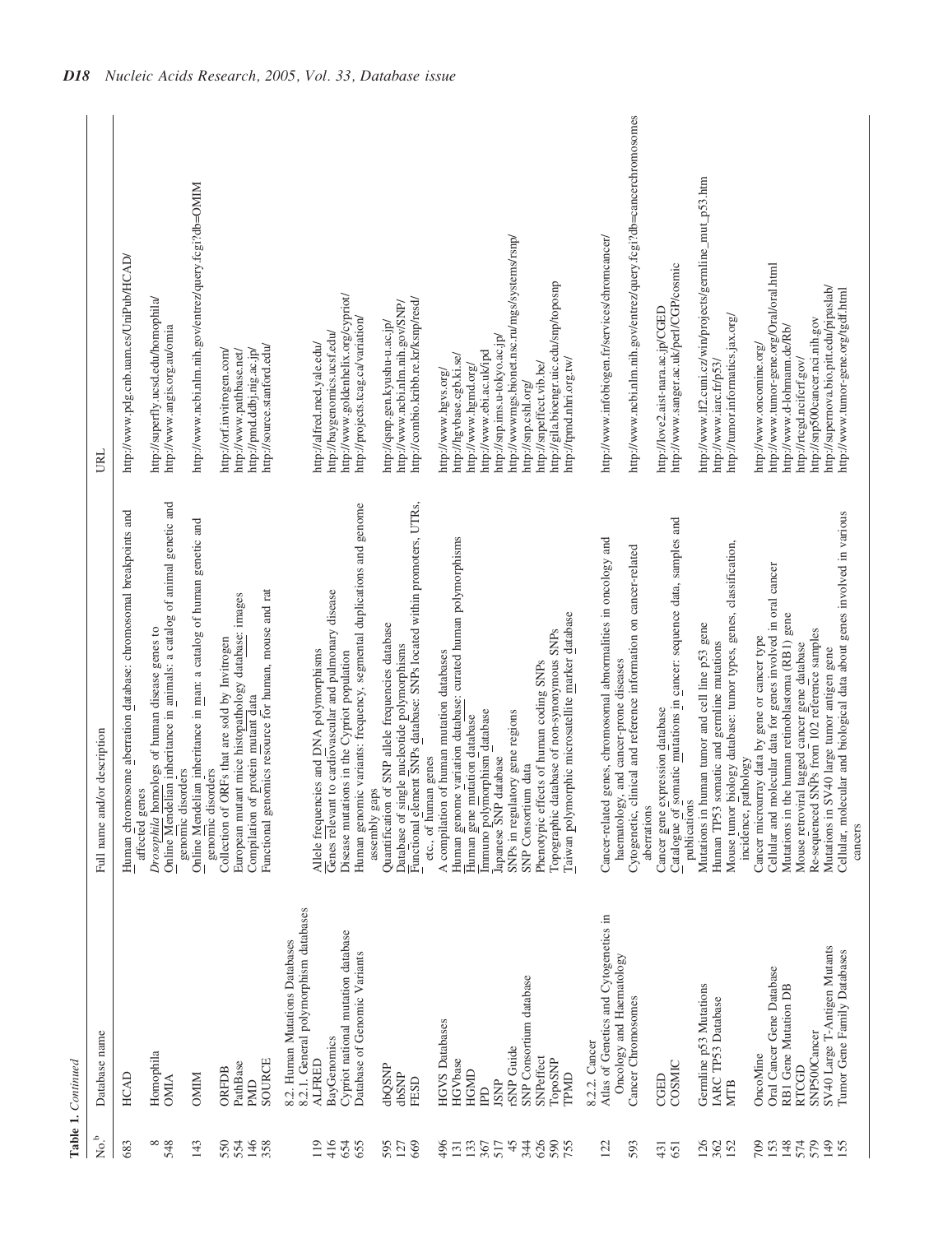|                            | Table 1. Continued                                                                                                                                                                   |                                                                                                                                                                                                                           |                                                                                                                                                |
|----------------------------|--------------------------------------------------------------------------------------------------------------------------------------------------------------------------------------|---------------------------------------------------------------------------------------------------------------------------------------------------------------------------------------------------------------------------|------------------------------------------------------------------------------------------------------------------------------------------------|
| $\mathrm{No}^{\mathrm{b}}$ | Database name                                                                                                                                                                        | and/or description<br>Full name                                                                                                                                                                                           | URL                                                                                                                                            |
| 683                        | HCAD                                                                                                                                                                                 | Human chromosome aberration database: chromosomal breakpoints and<br>affected genes                                                                                                                                       | http://www.pdg.cnb.uam.es/UniPub/HCAD/                                                                                                         |
| ${}^{\circ}$<br>548        | Homophila<br><b>OMIA</b>                                                                                                                                                             | Online Mendelian inheritance in animals: a catalog of animal genetic and<br>homologs of human disease genes to<br>genomic disorders<br>Drosophila                                                                         | http://superfly.ucsd.edu/homophila/<br>http://www.angis.org.au/omia                                                                            |
| 143                        | <b>OMIM</b>                                                                                                                                                                          | Online Mendelian inheritance in man: a catalog of human genetic and<br>genomic disorders                                                                                                                                  | http://www.ncbi.nlm.nih.gov/entrez/query.fcgi?db=OMIM                                                                                          |
| 146<br>550<br>554<br>358   | SOURCE<br>PathBase<br>ORFDB<br>PMD                                                                                                                                                   | Functional genomics resource for human, mouse and rat<br>European mutant mice histopathology database: images<br>Collection of ORFs that are sold by Invitrogen<br>Compilation of protein mutant data                     | http://source.stanford.edu/<br>http://pmd.ddbj.nig.ac.jp/<br>http://orf.invitrogen.com/<br>http://www.pathbase.net/                            |
| 119<br>416<br>654<br>655   | 8.2.1. General polymorphism databases<br>Cypriot national mutation database<br>8.2. Human Mutations Databases<br>Database of Genomic Variants<br><b>BayGenomics</b><br><b>ALFRED</b> | Human genomic variants: frequency, segmental duplications and genome<br>Genes relevant to cardiovascular and pulmonary disease<br>Allele frequencies and DNA polymorphisms<br>Disease mutations in the Cypriot population | http://www.goldenhelix.org/cypriot/<br>http://projects.tcag.ca/variation/<br>http://baygenomics.ucsf.edu/<br>http://alfred.med.yale.edu/       |
| 669<br>595<br>127          | dbQSNP<br>dbSNP<br>FESD                                                                                                                                                              | Functional element SNPs database: SNPs located within promoters, UTRs,<br>Quantification of SNP allele frequencies database<br>Database of single nucleotide polymorphisms<br>gaps<br>assembly                            | http://combio.kribb.re.kr/ksnp/resd/<br>http://www.ncbi.nlm.nih.gov/SNP/<br>http://qsnp.gen.kyushu-u.ac.jp/                                    |
| 496<br>133<br>131          | <b>HGVS</b> Databases<br><b>HGV</b> base<br>HGMD                                                                                                                                     | Human genome variation database: curated human polymorphisms<br>A compilation of human mutation databases<br>Human gene mutation database<br>etc., of human genes                                                         | http://hgvbase.cgb.ki.se/<br>http://www.hgmd.org/<br>http://www.hgvs.org/                                                                      |
| 367<br>517                 | <b>JSNP</b><br><b>QdI</b>                                                                                                                                                            | Immuno polymorphism database<br>Japanese SNP database                                                                                                                                                                     | http://snp.ims.u-tokyo.ac.jp/<br>http://www.ebi.ac.uk/ipd                                                                                      |
| 45<br>344                  | SNP Consortium database<br>rSNP Guide                                                                                                                                                | SNPs in regulatory gene regions<br>SNP Consortium data                                                                                                                                                                    | http://wwwmgs.bionet.nsc.ru/mgs/systems/rsnp/<br>http://snp.cshl.org/                                                                          |
| 626<br>590<br>755          | <b>SNPeffect</b><br>TopoSNP<br>TPMD                                                                                                                                                  | Taiwan polymorphic microsatellite marker database<br>Topographic database of non-synonymous SNPs<br>Phenotypic effects of human coding SNPs                                                                               | http://gila.bioengr.uic.edu/snp/toposnp<br>http://tpmd.nhri.org.tw/<br>http://snpeffect.vib.be/                                                |
| 122                        | Atlas of Genetics and Cytogenetics in<br>Oncology and Haematology<br>8.2.2. Cancer                                                                                                   | Cancer-related genes, chromosomal abnormalities in oncology and<br>haematology, and cancer-prone diseases                                                                                                                 | http://www.infobiogen.fr/services/chromcancer/                                                                                                 |
| 593                        | Cancer Chromosomes                                                                                                                                                                   | clinical and reference information on cancer-related<br>aberrations<br>Cytogenetic,                                                                                                                                       | http://www.ncbi.nlm.nih.gov/entrez/query.fcgi?db=cancerchromosomes                                                                             |
| 431<br>651                 | COSMIC<br>CGED                                                                                                                                                                       | somatic mutations in cancer: sequence data, samples and<br>expression database<br>publications<br>Cancer gene<br>Catalogue of                                                                                             | http://www.sanger.ac.uk/perl/CGP/cosmic<br>http://love2.aist-nara.ac.jp/CGED                                                                   |
| 126<br>362<br>152          | Germline p53 Mutations<br><b>IARC</b> TP53 Database<br><b>MTB</b>                                                                                                                    | Mouse tumor biology database: tumor types, genes, classification,<br>Mutations in human tumor and cell line p53 gene<br>Human TP53 somatic and germline mutations                                                         | http://www.lf2.cuni.cz/win/projects/germline_mut_p53.htm<br>http://tumor.informatics.jax.org/<br>http://www.iarc.fr/p53/                       |
| 709<br>153<br>148          | Oral Cancer Gene Database<br>RB1 Gene Mutation DB<br>OncoMine                                                                                                                        | molecular data for genes involved in oral cancer<br>Mutations in the human retinoblastoma (RB1) gene<br>Cancer microarray data by gene or cancer type<br>incidence, pathology<br>Cellular and                             | http://www.tumor-gene.org/Oral/oral.html<br>http://www.d-lohmann.de/Rb/<br>http://www.oncomine.org/                                            |
| 574<br>579<br>149<br>155   | SV40 Large T-Antigen Mutants<br>Tumor Gene Family Databases<br>SNP500Cancer<br><b>RTCGD</b>                                                                                          | Cellular, molecular and biological data about genes involved in various<br>Re-sequenced SNPs from 102 reference samples<br>Mouse retroviral tagged cancer gene database<br>SV40 large tumor antigen gene<br>Mutations in  | http://supernova.bio.pitt.edu/pipaslab/<br>http://www.tumor-gene.org/tgdf.html<br>http://snp500cancer.nci.nih.gov<br>http://rtcgd.ncifcrf.gov/ |
|                            |                                                                                                                                                                                      | cancers                                                                                                                                                                                                                   |                                                                                                                                                |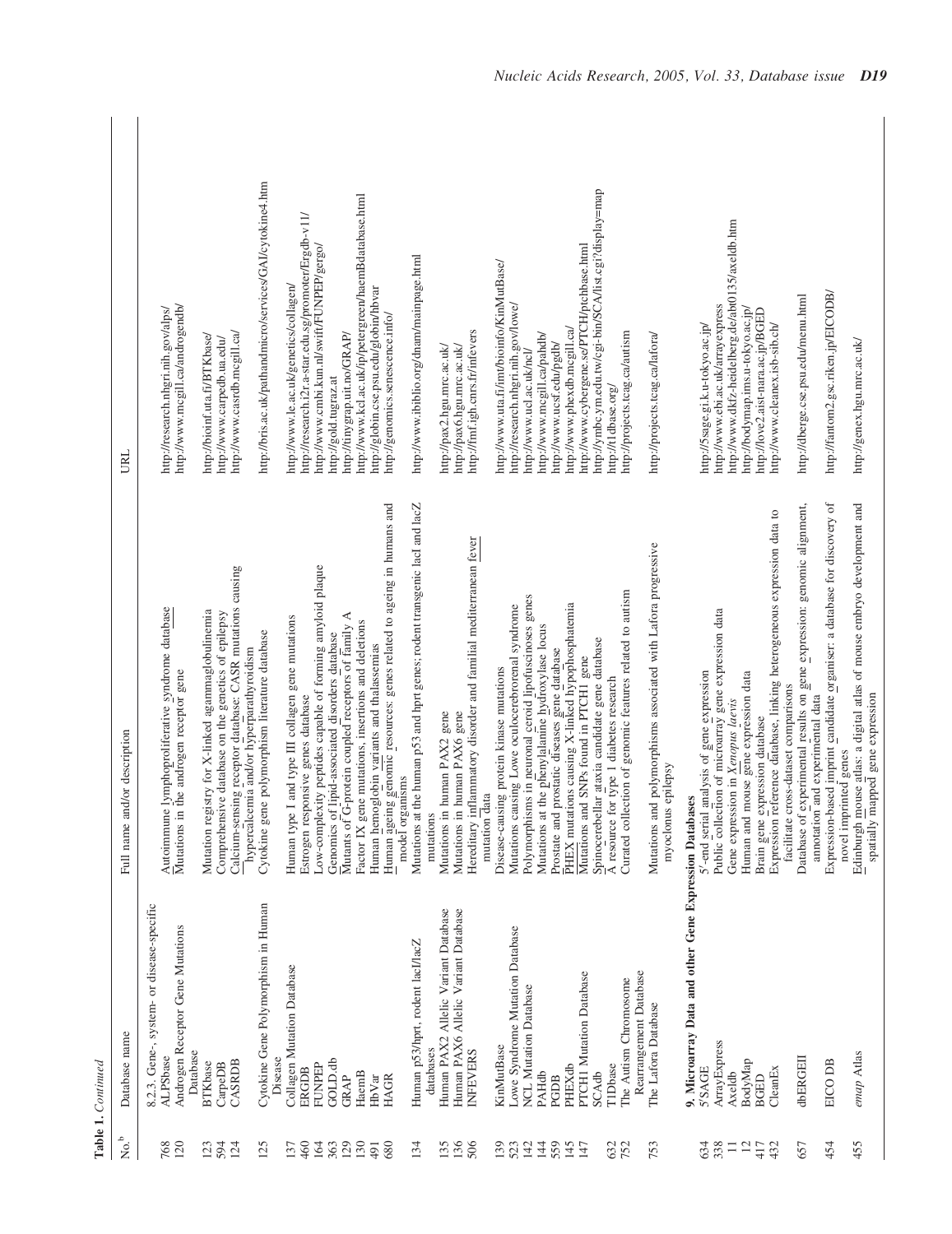|                            | Table 1. Continued                                                                                           |                                                                                                                                                                                                                      |                                                                                                                |
|----------------------------|--------------------------------------------------------------------------------------------------------------|----------------------------------------------------------------------------------------------------------------------------------------------------------------------------------------------------------------------|----------------------------------------------------------------------------------------------------------------|
| $\mathrm{No}^{\mathrm{b}}$ | Database name                                                                                                | and/or description<br>Full name                                                                                                                                                                                      | ğ                                                                                                              |
| 768<br>120                 | 8.2.3. Gene-, system- or disease-specific<br>Androgen Receptor Gene Mutations<br>Database<br><b>ALPSbase</b> | Autoimmune lymphoproliferative syndrome database<br>Mutations in the androgen receptor gene                                                                                                                          | http://www.mcgill.ca/androgendb/<br>http://research.nhgri.nih.gov/alps/                                        |
| 123<br>594<br>124          | CASRDB<br><b>BTK</b> base<br>CarpeDB                                                                         | Calcium-sensing receptor database: CASR mutations causing<br>gistry for X-linked agammaglobulinemia<br>Comprehensive database on the genetics of epilepsy<br>hypercalcemia and/or hyperparathyroidism<br>Mutation re | http://www.casrdb.mcgill.ca/<br>http://bioinf.uta.fi/BTKbase/<br>http://www.carpedb.ua.edu/                    |
| 125                        | Cytokine Gene Polymorphism in Human<br>Disease                                                               | Cytokine gene polymorphism literature database                                                                                                                                                                       | http://bris.ac.uk/pathandmicro/services/GAI/cytokine4.htm                                                      |
| 460<br>137                 | Collagen Mutation Database<br>ERGDB                                                                          | Human type I and type III collagen gene mutations<br>Estrogen responsive genes database                                                                                                                              | http://research.i2r.a-star.edu.sg/promoter/Ergdb-v11/<br>http://www.le.ac.uk/genetics/collagen/                |
| 164<br>363                 | GOLD.db<br>FUNPEP                                                                                            | Low-complexity peptides capable of forming amyloid plaque<br>Genomics of lipid-associated disorders database                                                                                                         | http://www.cmbi.kun.nl/swift/FUNPEP/gergo/                                                                     |
| 129<br>130                 | <b>HaemB</b><br><b>GRAP</b>                                                                                  | Mutants of G-protein coupled receptors of family A<br>Factor IX gene mutations, insertions and deletions                                                                                                             | http://www.kcl.ac.uk/ip/petergreen/haemBdatabase.html<br>http://tinygrap.uit.no/GRAP/<br>http://gold.tugraz.at |
| 680<br>491                 | HbVar<br><b>HAGR</b>                                                                                         | Human ageing genomic resources: genes related to ageing in humans and<br>Human hemoglobin variants and thalassemias                                                                                                  | http://globin.cse.psu.edu/globin/hbvar<br>http://genomics.senescence.info/                                     |
| 134                        | Human p53/hprt, rodent lacI/lacZ                                                                             | Mutations at the human p53 and hprt genes; rodent transgenic lacI and lacZ<br>model organisms                                                                                                                        | http://www.ibiblio.org/dnam/mainpage.html                                                                      |
| 135<br>506                 | Human PAX2 Allelic Variant Database<br>Human PAX6 Allelic Variant Database<br>databases<br><b>INFEVERS</b>   | Hereditary inflammatory disorder and familial mediterranean fever<br>n human PAX6 gene<br>Mutations in human PAX2 gene<br>mutations<br>Mutations in                                                                  | http://fmf.igh.cnrs.fr/infevers<br>http://pax2.hgu.mrc.ac.uk/<br>http://pax6.hgu.mrc.ac.uk/                    |
| 139                        | <b>KinMutBase</b>                                                                                            | Disease-causing protein kinase mutations<br>data<br>mutation                                                                                                                                                         | http://www.uta.fi/imt/bioinfo/KinMutBase/                                                                      |
| 523<br>142                 | Lowe Syndrome Mutation Database<br><b>NCL Mutation Database</b>                                              | Polymorphisms in neuronal ceroid lipofuscinoses genes<br>Mutations causing Lowe oculocerebrorenal syndrome                                                                                                           | http://research.nhgri.nih.gov/lowe/<br>http://www.ucl.ac.uk/ncl.                                               |
| 144<br>559                 | PAHdb<br>PGDB                                                                                                | Mutations at the phenylalanine hydroxylase locus<br>prostatic diseases gene database<br>Prostate and                                                                                                                 | http://www.mcgill.ca/pahdb/<br>http://www.ucsf.edu/pgdb/                                                       |
| 145<br>147                 | PTCH1 Mutation Database<br>PHEXdb                                                                            | PHEX mutations causing X-linked hypophosphatemia<br>Mutations and SNPs found in PTCH1 gene                                                                                                                           | http://www.cybergene.se/PTCH/ptchbase.html<br>http://www.phexdb.mcgill.ca/                                     |
| 632                        | T1Dbase<br><b>SCAdb</b>                                                                                      | Spinocerebellar ataxia candidate gene database<br>A resource for type 1 diabetes research                                                                                                                            | http://ymbc.ym.edu.tw/cgi-bin/SCA/list.cgi?display=map<br>http://t1dbase.org/                                  |
| 752                        | Rearrangement Database<br>The Autism Chromosome                                                              | Curated collection of genomic features related to autism                                                                                                                                                             | http://projects.tcag.ca/autism                                                                                 |
| 753                        | The Lafora Database                                                                                          | Mutations and polymorphisms associated with Lafora progressive<br>myoclonus epilepsy                                                                                                                                 | http://projects.tcag.ca/lafora/                                                                                |
|                            | 9. Microarray Data and other Gene Expression Databases                                                       |                                                                                                                                                                                                                      |                                                                                                                |
| 634<br>338                 | ArrayExpress<br>5'SAGE                                                                                       | Public collection of microarray gene expression data<br>analysis of gene expression<br>5'-end serial                                                                                                                 | http://www.ebi.ac.uk/arrayexpress<br>http://5sage.gi.k.u-tokyo.ac.jp/                                          |
| $\overline{c}$<br>$\Box$   | BodyMap<br>Axeldb                                                                                            | Human and mouse gene expression data<br>Gene expression in Xenopus laevis                                                                                                                                            | http://www.dkfz-heidelberg.de/abt0135/axeldb.htm<br>http://bodymap.ims.u-tokyo.ac.jp/                          |
| 417<br>432                 | CleanEx<br><b>BGED</b>                                                                                       | Expression reference database, linking heterogeneous expression data to<br>Brain gene expression database                                                                                                            | http://love2.aist-nara.ac.jp/BGED<br>http://www.cleanex.isb-sib.ch/                                            |
| 657                        | dbERGEII                                                                                                     | experimental results on gene expression: genomic alignment,<br>cross-dataset comparisons<br>Database of<br>facilitate                                                                                                | http://dberge.cse.psu.edu/menu.html                                                                            |
| 454                        | EICO DB                                                                                                      | Expression-based imprint candidate organiser: a database for discovery of<br>annotation and experimental data                                                                                                        | http://fantom2.gsc.riken.jp/EICODB/                                                                            |
| 455                        | emap Atlas                                                                                                   | Edinburgh mouse atlas: a digital atlas of mouse embryo development and<br>spatially mapped gene expression<br>novel imprinted genes                                                                                  | http://genex.hgu.mrc.ac.uk/                                                                                    |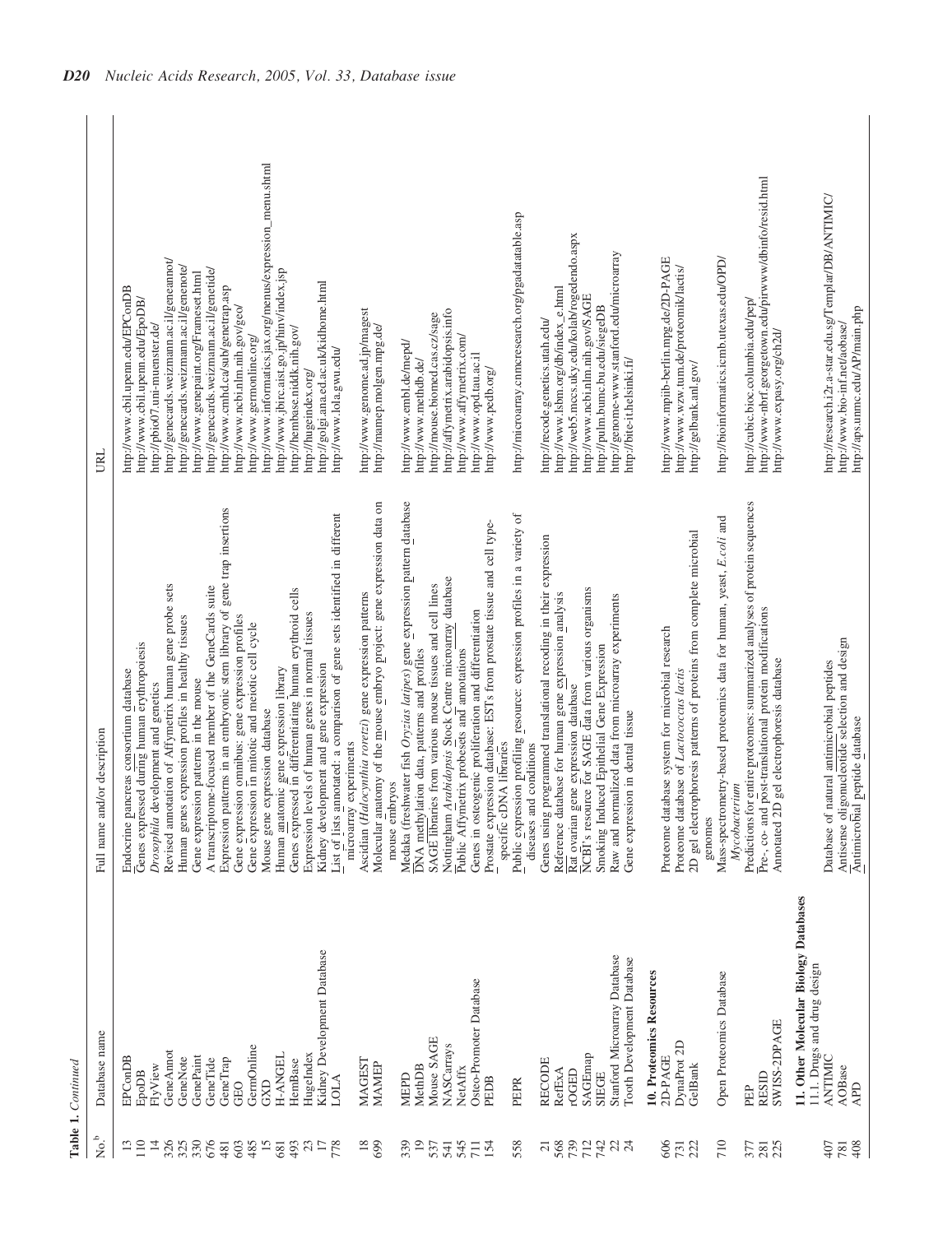|                            | Table 1. Continued                                         |                                                                                                                                      |                                                                                                |
|----------------------------|------------------------------------------------------------|--------------------------------------------------------------------------------------------------------------------------------------|------------------------------------------------------------------------------------------------|
| $\mathrm{No}^{\mathrm{b}}$ | Database name                                              | d/or description<br>Full name an                                                                                                     | URL                                                                                            |
| $\mathbf{13}$              |                                                            |                                                                                                                                      |                                                                                                |
|                            | EPConDB                                                    | Endocrine pancreas consortium database                                                                                               | http://www.cbil.upenn.edu/EPConDB                                                              |
| 110                        | EpoDB                                                      | Genes expressed during human erythropoiesis                                                                                          | http://www.cbil.upenn.edu/EpoDB/                                                               |
| $\overline{1}$             | FlyView                                                    | Drosophila development and genetics                                                                                                  | http://pbio07.uni-muenster.de.                                                                 |
| 326                        | GeneAnnot                                                  | Revised annotation of Affymetrix human gene probe sets                                                                               | http://genecards.weizmann.ac.il/geneannot/                                                     |
| 325                        | GeneNote                                                   | expression profiles in healthy tissues<br>Human genes                                                                                | http://genecards.weizmann.ac.il/genenote/                                                      |
|                            | GenePaint                                                  | Gene expression patterns in the mouse                                                                                                | http://www.genepaint.org/Frameset.html                                                         |
| 676                        | GeneTide                                                   | A transcriptome-focused member of the GeneCards suite                                                                                | http://genecards.weizmann.ac.il/genetide/                                                      |
| 481                        | GeneTrap                                                   | Expression patterns in an embryonic stem library of gene trap insertions                                                             | http://www.cmhd.ca/sub/genetrap.asp                                                            |
| 603                        | GEO                                                        | Gene expression omnibus: gene expression profiles                                                                                    | http://www.ncbi.nlm.nih.gov/geo/                                                               |
| 485                        | GermOnline                                                 | Gene expression in mitotic and meiotic cell cycle                                                                                    | http://www.germonline.org/                                                                     |
| 15                         | GXD                                                        | Mouse gene expression database                                                                                                       | http://www.informatics.jax.org/menus/expression_menu.shtml                                     |
| 681                        | H-ANGEL                                                    | Human anatomic gene expression library                                                                                               | http://www.jbirc.aist.go.jp/hinv/index.jsp                                                     |
| 493                        | HemBase                                                    | Genes expressed in differentiating human erythroid cells                                                                             | http://hembase.niddk.nih.gov/                                                                  |
| 23                         | HugeIndex                                                  | Expression levels of human genes in normal tissues                                                                                   | http://hugeindex.org/                                                                          |
| 778                        | Kidney Development Database<br>LOLA                        | Kidney development and gene expression                                                                                               | http://golgi.ana.ed.ac.uk/kidhome.html<br>http://www.lola.gwu.edu/                             |
|                            |                                                            | List of lists annotated: a comparison of gene sets identified in different<br>experiments<br>microarray                              |                                                                                                |
|                            | MAGEST                                                     | Ascidian (Halocynthia roretzi) gene expression patterns                                                                              | http://www.genome.ad.jp/magest                                                                 |
| $\frac{18}{699}$           | MAMEP                                                      | Molecular anatomy of the mouse embryo project: gene expression data on                                                               | http://mamep.molgen.mpg.de/                                                                    |
|                            |                                                            | mouse embryos                                                                                                                        |                                                                                                |
| 339<br>19                  | MethDB<br>MEPD                                             | Medaka (freshwater fish Oryzias latipes) gene expression pattern database                                                            | http://www.embl.de/mepd/<br>http://www.methdb.de/                                              |
| 537                        | Mouse SAGE                                                 | SAGE libraries from various mouse tissues and cell lines<br>DNA methylation data, patterns and profiles                              | http://mouse.biomed.cas.cz/sage                                                                |
| 541                        | NASCarrays                                                 | Nottingham Arabidopsis Stock Centre microarray database                                                                              | http://affymetrix.arabidopsis.info                                                             |
| 545                        | NetAffx                                                    | Public Affymetrix probesets and annotations                                                                                          | http://www.affymetrix.com/                                                                     |
| 711                        | Osteo-Promoter Database                                    | Genes in osteogenic proliferation and differentiation                                                                                | http://www.opd.tau.ac.il                                                                       |
| 154                        | <b>PEDB</b>                                                | Prostate expression database: ESTs from prostate tissue and cell type-                                                               | http://www.pedb.org/                                                                           |
|                            |                                                            | specific cDNA libraries                                                                                                              |                                                                                                |
| 558                        | PEPR                                                       | Public expression profiling resource: expression profiles in a variety of<br>diseases and conditions                                 | http://microarray.cnmcresearch.org/pgadatatable.asp                                            |
| $\overline{2}1$            | RECODE                                                     | Genes using programmed translational recoding in their expression                                                                    | http://recode.genetics.utah.edu/                                                               |
|                            | RefExA                                                     | Reference database for human gene expression analysis                                                                                | http://www.lsbm.org/db/index_e.html                                                            |
|                            | <b>LEDO</b> r                                              | Rat ovarian gene expression database                                                                                                 | http://web5.mccs.uky.edu/kolab/rogedendo.aspx                                                  |
|                            | SAGEmap                                                    | NCBI's resource for SAGE data from various organisms                                                                                 | http://www.ncbi.nlm.nih.gov/SAGE                                                               |
|                            | SIEGE                                                      | Smoking Induced Epithelial Gene Expression                                                                                           | http://pulm.bumc.bu.edu/siegeDB                                                                |
| 8822824                    | Stanford Microarray Database<br>Tooth Development Database | Raw and normalized data from microarray experiments<br>Gene expression in dental tissue                                              | http://genome-www.stanford.edu/microarray<br>http://bite-it.helsinki.fi/                       |
|                            | 10. Proteomics Resources                                   |                                                                                                                                      |                                                                                                |
| 606                        | 2D-PAGE                                                    | Proteome database system for microbial research                                                                                      | http://www.mpiib-berlin.mpg.de/2D-PAGE                                                         |
| 222<br>731                 | DynaProt <sub>2D</sub>                                     | Proteome database of Lactococcus lactis                                                                                              | http://www.wzw.tum.de/proteomik/lactis/                                                        |
|                            | GelBank                                                    | 2D gel electrophoresis patterns of proteins from complete microbial<br>genomes                                                       | http://gelbank.anl.gov/                                                                        |
| 710                        | Open Proteomics Database                                   | Mass-spectrometry-based proteomics data for human, yeast, E.coli and                                                                 | http://bioinformatics.icmb.utexas.edu/OPD/                                                     |
|                            |                                                            | Mycobacterium                                                                                                                        |                                                                                                |
| 377<br>281                 | RESID<br>PEP                                               | Predictions for entire proteomes: summarized analyses of protein sequences<br>Pre-, co- and post-translational protein modifications | http://www-nbrf.georgetown.edu/pirwww/dbinfo/resid.html<br>http://cubic.bioc.columbia.edu/pep/ |
| 225                        | SWISS-2DPAGE                                               | Annotated 2D gel electrophoresis database                                                                                            | http://www.expasy.org/ch2d/                                                                    |
|                            | 11. Other Molecular Biology Databases                      |                                                                                                                                      |                                                                                                |
| 407                        | 11.1. Drugs and drug design<br>ANTIMIC                     | Database of natural antimicrobial peptides                                                                                           |                                                                                                |
| 781                        | AOBase                                                     | Antisense oligonucleotide selection and design                                                                                       | http://research.i2r.a-star.edu.sg/Templar/DB/ANTIMIC/<br>http://www.bio-inf.net/aobase/        |
| 408                        | <b>APD</b>                                                 | 1 peptide database<br>Antimicrobial                                                                                                  | http://aps.unmc.edu/AP/main.php                                                                |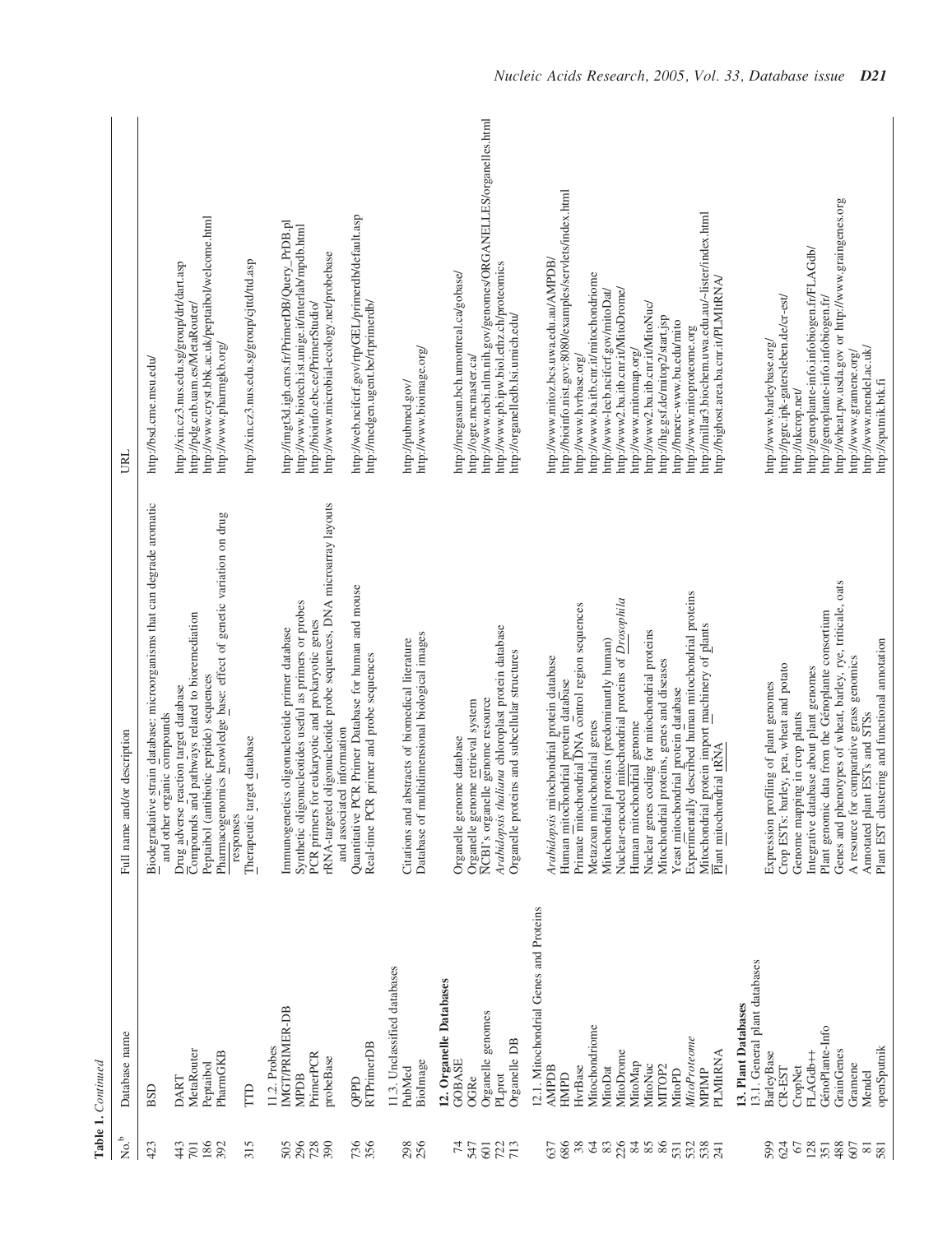|                                                                                           | Table 1. Continued                                                                                                                                                                                 |                                                                                                                                                                                                                                                                                                                                                                                                                                                                                                                                                                                                                  |                                                                                                                                                                                                                                                                                                                                                                                                                                                                                                                                   |
|-------------------------------------------------------------------------------------------|----------------------------------------------------------------------------------------------------------------------------------------------------------------------------------------------------|------------------------------------------------------------------------------------------------------------------------------------------------------------------------------------------------------------------------------------------------------------------------------------------------------------------------------------------------------------------------------------------------------------------------------------------------------------------------------------------------------------------------------------------------------------------------------------------------------------------|-----------------------------------------------------------------------------------------------------------------------------------------------------------------------------------------------------------------------------------------------------------------------------------------------------------------------------------------------------------------------------------------------------------------------------------------------------------------------------------------------------------------------------------|
| $\mathrm{No}^{\mathrm{b}}$                                                                | Database name                                                                                                                                                                                      | Full name and/or description                                                                                                                                                                                                                                                                                                                                                                                                                                                                                                                                                                                     | B                                                                                                                                                                                                                                                                                                                                                                                                                                                                                                                                 |
| 423                                                                                       | BSD                                                                                                                                                                                                | Biodegradative strain database: microorganisms that can degrade aromatic<br>and other organic compounds                                                                                                                                                                                                                                                                                                                                                                                                                                                                                                          | http://bsd.cme.msu.edu/                                                                                                                                                                                                                                                                                                                                                                                                                                                                                                           |
| 186<br>443<br>701                                                                         | MetaRouter<br>PharmGKB<br>Peptaibol<br>DART                                                                                                                                                        | Pharmacogenomics knowledge base: effect of genetic variation on drug<br>Compounds and pathways related to bioremediation<br>Peptaibol (antibiotic peptide) sequences<br>reaction target database<br>Drug adverse                                                                                                                                                                                                                                                                                                                                                                                                 | http://www.cryst.bbk.ac.uk/peptaibol/welcome.html<br>http://xin.cz3.nus.edu.sg/group/drt/dart.asp<br>http://pdg.cnb.uam.es/MetaRouter/<br>http://www.pharmgkb.org/                                                                                                                                                                                                                                                                                                                                                                |
| 315                                                                                       | TTD                                                                                                                                                                                                | Therapeutic target database<br>responses                                                                                                                                                                                                                                                                                                                                                                                                                                                                                                                                                                         | http://xin.cz3.nus.edu.sg/group/cjttd/ttd.asp                                                                                                                                                                                                                                                                                                                                                                                                                                                                                     |
| 728<br>505<br>296<br>390                                                                  | MGT/PRIMER-DB<br>11.2. Probes<br>PrimerPCR<br>probeBase<br>MPDB                                                                                                                                    | rRNA-targeted oligonucleotide probe sequences, DNA microarray layouts<br>Synthetic oligonucleotides useful as primers or probes<br>PCR primers for eukaryotic and prokaryotic genes<br>Immunogenetics oligonucleotide primer database                                                                                                                                                                                                                                                                                                                                                                            | http://imgt3d.igh.cnrs.fr/PrimerDB/Query_PrDB.pl<br>http://www.biotech.ist.unige.it/interlab/mpdb.html<br>http://www.microbial-ecology.net/probebase<br>http://bioinfo.ebc.ee/PrimerStudio/                                                                                                                                                                                                                                                                                                                                       |
| 736<br>356                                                                                | <b>RTPrimerDB</b><br><b>OPPD</b>                                                                                                                                                                   | Quantitative PCR Primer Database for human and mouse<br>Real-time PCR primer and probe sequences<br>and associated information                                                                                                                                                                                                                                                                                                                                                                                                                                                                                   | http://web.ncifcrf.gov/rtp/GEL/primerdb/default.asp<br>http://medgen.ugent.be/rtprimerdb/                                                                                                                                                                                                                                                                                                                                                                                                                                         |
| 298                                                                                       | 11.3. Unclassified databases<br>BioImage<br>PubMed                                                                                                                                                 | Database of multidimensional biological images<br>abstracts of biomedical literature<br>Citations and                                                                                                                                                                                                                                                                                                                                                                                                                                                                                                            | http://www.bioimage.org/<br>http://pubmed.gov/                                                                                                                                                                                                                                                                                                                                                                                                                                                                                    |
| 722<br>74<br>547<br>601                                                                   | 12. Organelle Databases<br>Organelle genomes<br>Organelle DB<br><b>GOBASE</b><br>PLprot<br><b>OGRe</b>                                                                                             | Arabidopsis thaliana chloroplast protein database<br>Organelle proteins and subcellular structures<br>NCBI's organelle genome resource<br>Organelle genome retrieval system<br>Organelle genome database                                                                                                                                                                                                                                                                                                                                                                                                         | http://www.ncbi.nlm.nih.gov/genomes/ORGANELLES/organelles.html<br>http://www.pb.ipw.biol.ethz.ch/proteomics<br>http://megasun.bch.umontreal.ca/gobase/<br>http://organelledb.lsi.umich.edu/<br>http://ogre.mcmaster.ca/                                                                                                                                                                                                                                                                                                           |
| 83<br>226<br>$2\,8\,8$<br>637<br>686<br>$38$<br>$\mathcal{L}$<br>531<br>532<br>538<br>241 | 12.1. Mitochondrial Genes and Proteins<br>Mitochondriome<br>MitoProteome<br>MitoDrome<br>PLMItRNA<br>MitoMap<br>MitoNuc<br>HvrBase<br><b>AMPDB</b><br>MITOP2<br>MitoDat<br>MPIMP<br>MitoPD<br>HMPD | Experimentally described human mitochondrial proteins<br>ed mitochondrial proteins of Drosophila<br>Primate mitochondrial DNA control region sequences<br>protein import machinery of plants<br>coding for mitochondrial proteins<br>proteins (predominantly human)<br>Arabidopsis mitochondrial protein database<br>proteins, genes and diseases<br>Human mitochondrial protein database<br>Yeast mitochondrial protein database<br>Metazoan mitochondrial genes<br>Human mitochondrial genome<br>Plant mitochondrial tRNA<br>Mitochondrial<br>Nuclear-encod<br>Nuclear genes<br>Mitochondrial<br>Mitochondrial | http://bioinfo.nist.gov:8080/examples/servlets/index.html<br>http://millar3.biochem.uwa.edu.au/~lister/index.html<br>http://www.mitoz.bcs.uwa.edu.au/AMPDB/<br>http://www.ba.itb.cnr.it/mitochondriome<br>http://bighost.area.ba.cm.it/PLMItRNA/<br>http://www2.ba.itb.cnr.it/MitoDrome/<br>http://www-lecb.ncifcrf.gov/mitoDat/<br>http://www2.ba.itb.cnr.it/MitoNuc/<br>http://ihg.gsf.de/mitop2/start.jsp<br>http://bmerc-www.bu.edu/mito<br>http://www.mitoproteome.org<br>http://www.mitomap.org/<br>http://www.hvrbase.org/ |
| $\frac{128}{351}$<br>599<br>624<br>$67\,$<br>607<br>581<br>$\overline{81}$                | 13.1. General plant databases<br>13. Plant Databases<br>GénoPlante-Info<br>openSputnik<br>FLAGdb++<br>GrainGenes<br><b>Barley</b> Base<br>Gramene<br>CR-EST<br>CropNet<br>Mendel                   | Genes and phenotypes of wheat, barley, rye, triticale, oats<br>Plant genomic data from the Génoplante consortium<br>Plant EST clustering and functional annotation<br>A resource for comparative grass genomics<br>Crop ESTs: barley, pea, wheat and potato<br>Integrative database about plant genomes<br>Expression profiling of plant genomes<br>Genome mapping in crop plants<br>Annotated plant ESTs and STSs                                                                                                                                                                                               | http://wheat.pw.usda.gov or http://www.graingenes.org<br>http://genoplante-info.infobiogen.fr/FLAGdb/<br>http://pgrc.ipk-gatersleben.de/cr-est/<br>http://genoplante-info.infobiogen.fr/<br>http://www.barleybase.org/<br>http://www.mendel.ac.uk/<br>http://www.gramene.org/<br>http://sputnik.btk.fi<br>http://ukcrop.net/                                                                                                                                                                                                      |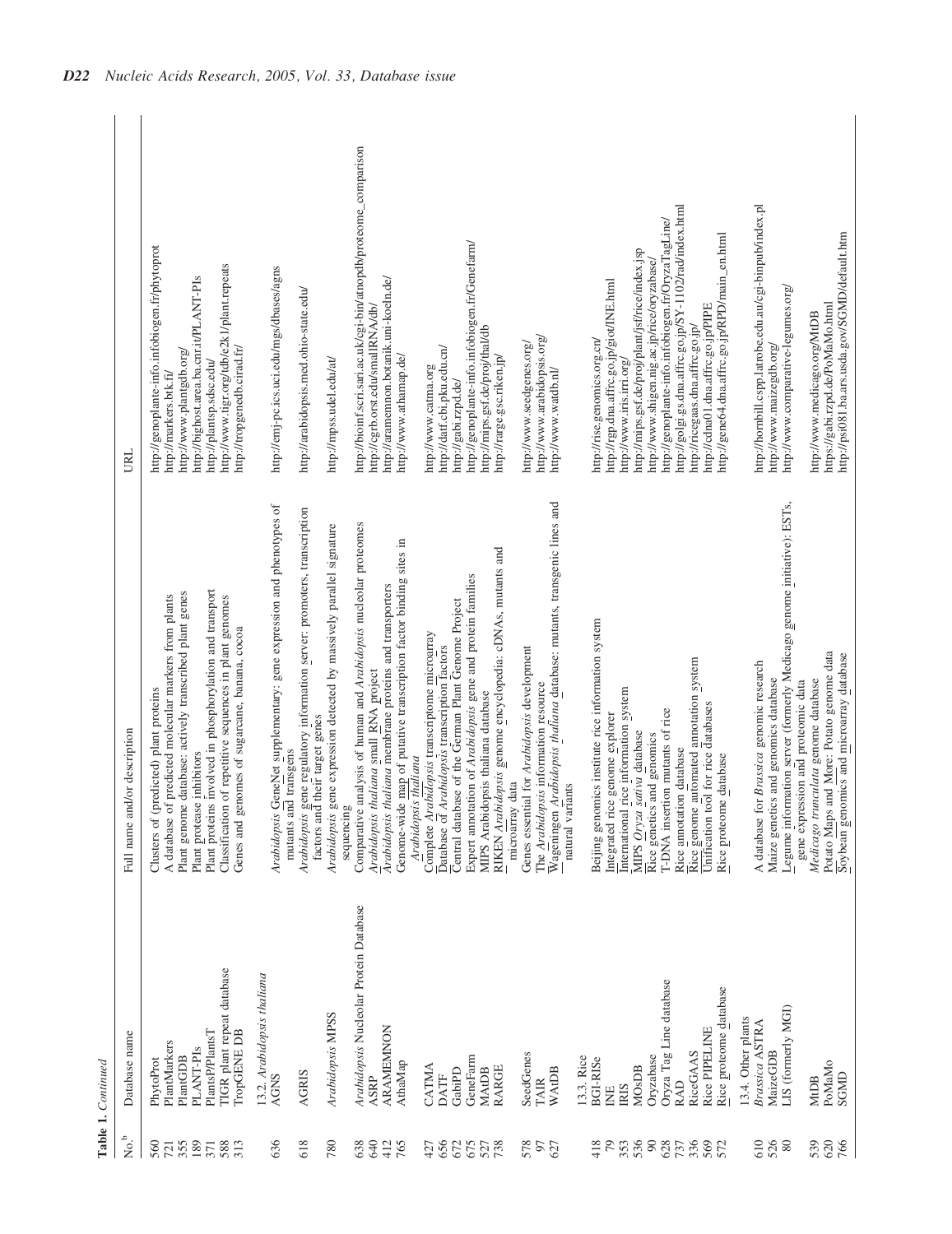| $\mathrm{No}^{\mathrm{b}}$                                | Database name<br>Table 1. Continued                                                                                                                                | Full name and/or description                                                                                                                                                                                                                                                                                                                                          | e                                                                                                                                                                                                                                                                                                                                                                                                                                                    |
|-----------------------------------------------------------|--------------------------------------------------------------------------------------------------------------------------------------------------------------------|-----------------------------------------------------------------------------------------------------------------------------------------------------------------------------------------------------------------------------------------------------------------------------------------------------------------------------------------------------------------------|------------------------------------------------------------------------------------------------------------------------------------------------------------------------------------------------------------------------------------------------------------------------------------------------------------------------------------------------------------------------------------------------------------------------------------------------------|
| 355<br>189<br>560<br>588<br>721<br>371<br>313             | TIGR plant repeat database<br>PlantsP/PlantsT<br>TropGENE DB<br>PlantMarkers<br>PLANT-PIs<br>PlantGDB<br>PhytoProt                                                 | Plant proteins involved in phosphorylation and transport<br>Plant genome database: actively transcribed plant genes<br>of predicted molecular markers from plants<br>Classification of repetitive sequences in plant genomes<br>Genes and genomes of sugarcane, banana, cocoa<br>predicted) plant proteins<br>Plant protease inhibitors<br>A database<br>Clusters of  | http://genoplante-info.infobiogen.fr/phytoprot<br>http://www.tigr.org/tdb/e2k1/plant.repeats<br>http://bighost.area.ba.cnr.it/PLANT-PIs<br>http://tropgenedb.cirad.fr/<br>http://www.plantgdb.org/<br>http://plantsp.sdsc.edu/<br>http://markers.btk.fi/                                                                                                                                                                                             |
| 636<br>618<br>780                                         | 13.2. Arabidopsis thaliana<br>Arabidopsis MPSS<br><b>AGRIS</b><br><b>AGNS</b>                                                                                      | GeneNet supplementary: gene expression and phenotypes of<br>gene regulatory information server: promoters, transcription<br>factors and their target genes<br>nd transgens<br>Arabidopsis<br>mutants a<br>Arabidopsis<br>Arabidopsis                                                                                                                                  | http://emj-pc.ics.uci.edu/mgs/dbases/agns<br>http://arabidopsis.med.ohio-state.edu/                                                                                                                                                                                                                                                                                                                                                                  |
| 638<br>640<br>412<br>765                                  | Arabidopsis Nucleolar Protein Database<br><b>ARAMEMNON</b><br>AthaMap<br>ASRP                                                                                      | Comparative analysis of human and Arabidopsis nucleolar proteomes<br>gene expression detected by massively parallel signature<br>Genome-wide map of putative transcription factor binding sites in<br>Arabidopsis thaliana membrane proteins and transporters<br>Arabidopsis thaliana small RNA project<br>ōΰ<br>sequencin                                            | http://bioinf.scri.sari.ac.uk/cgi-bin/atnopdb/proteome_comparison<br>http://aramemnon.botanik.uni-koeln.de/<br>http://cgrb.orst.edu/smallRNA/db/<br>http://www.athamap.de/<br>http://mpss.udel.edu/at/                                                                                                                                                                                                                                               |
| 656<br>672<br>675<br>738<br>527<br>427                    | GeneFarm<br>CATMA<br>RARGE<br><b>MAIDB</b><br>GabiPD<br>DATF                                                                                                       | RIKEN Arabidopsis genome encyclopedia: cDNAs, mutants and<br>Expert annotation of Arabidopsis gene and protein families<br>Central database of the German Plant Genome Project<br>Complete Arabidopsis transcriptome microarray<br>Arabidopsis transcription factors<br>MIPS Arabidopsis thaliana database<br>Arabidopsis thaliana<br>microarray data<br>Database of  | http://genoplante-info.infobiogen.fr/Genefarm/<br>http://mips.gsf.de/proj/thal/db<br>http://datf.cbi.pku.edu.cn/<br>http://rarge.gsc.riken.jp/<br>http://www.catma.org<br>http://gabi.rzpd.de/                                                                                                                                                                                                                                                       |
| 578<br>97<br>627                                          | SeedGenes<br>13.3. Rice<br>WAIDB<br><b>TAIR</b>                                                                                                                    | Wageningen Arabidopsis thaliana database: mutants, transgenic lines and<br>Genes essential for Arabidopsis development<br>The Arabidopsis information resource<br>natural variants                                                                                                                                                                                    | http://www.arabidopsis.org/<br>http://www.seedgenes.org/<br>http://www.watdb.nl/                                                                                                                                                                                                                                                                                                                                                                     |
| 79<br>353<br>536<br>90<br>628<br>336<br>569<br>418<br>737 | Oryza Tag Line database<br>Rice proteome database<br>Rice PIPELINE<br>RiceGAAS<br>Oryzabase<br><b>BGI-RISe</b><br><b>MOsDB</b><br><b>RAD</b><br><b>IRIS</b><br>INE | Beijing genomics institute rice information system<br>Rice genome automated annotation system<br>International rice information system<br>Unification tool for rice databases<br>T-DNA insertion mutants of rice<br>Integrated rice genome explorer<br>MIPS Oryza sativa database<br>Rice genetics and genomics<br>Rice annotation database<br>Rice proteome database | http://golgi.gs.dna.affrc.go.jp/SY-1102/rad/index.html<br>http://genoplante-info.infobiogen.fr/OryzaTagLine/<br>http://gene64.dna.affrc.go.jp/RPD/main_en.html<br>http://mips.gsf.de/proj/plant/jsf/rice/index.jsp<br>http://www.shigen.nig.ac.jp/rice/oryzabase/<br>http://rgp.dna.affrc.go.jp/giot/INE.html<br>http://cdna01.dna.affrc.go.jp/PIPE<br>http://ricegaas.dna.affrc.go.jp/<br>http://rise.genomics.org.cn/<br>http://www.iris.irri.org/ |
| 526<br>620<br>610<br>539<br>80<br>766                     | LIS (formerly MGI)<br>13.4. Other plants<br>Brassica ASTRA<br>MaizeGDB<br>PoMaMo<br>SGMD<br><b>MtDB</b>                                                            | Legume information server (formerly Medicago genome initiative): ESTs,<br>Potato Maps and More: Potato genome data<br>Soybean genomics and microarray database<br>for Brassica genomic research<br>Maize genetics and genomics database<br>Medicago trunculata genome database<br>gene expression and proteomic data<br>A database                                    | http://hornbill.cspp.latrobe.edu.au/cgi-binpub/index.pl<br>http://psi081.ba.ars.usda.gov/SGMD/default.htm<br>http://www.comparative-legumes.org/<br>https://gabi.rzpd.de/PoMaMo.html<br>http://www.medicago.org/MtDB<br>http://www.maizegdb.org/                                                                                                                                                                                                     |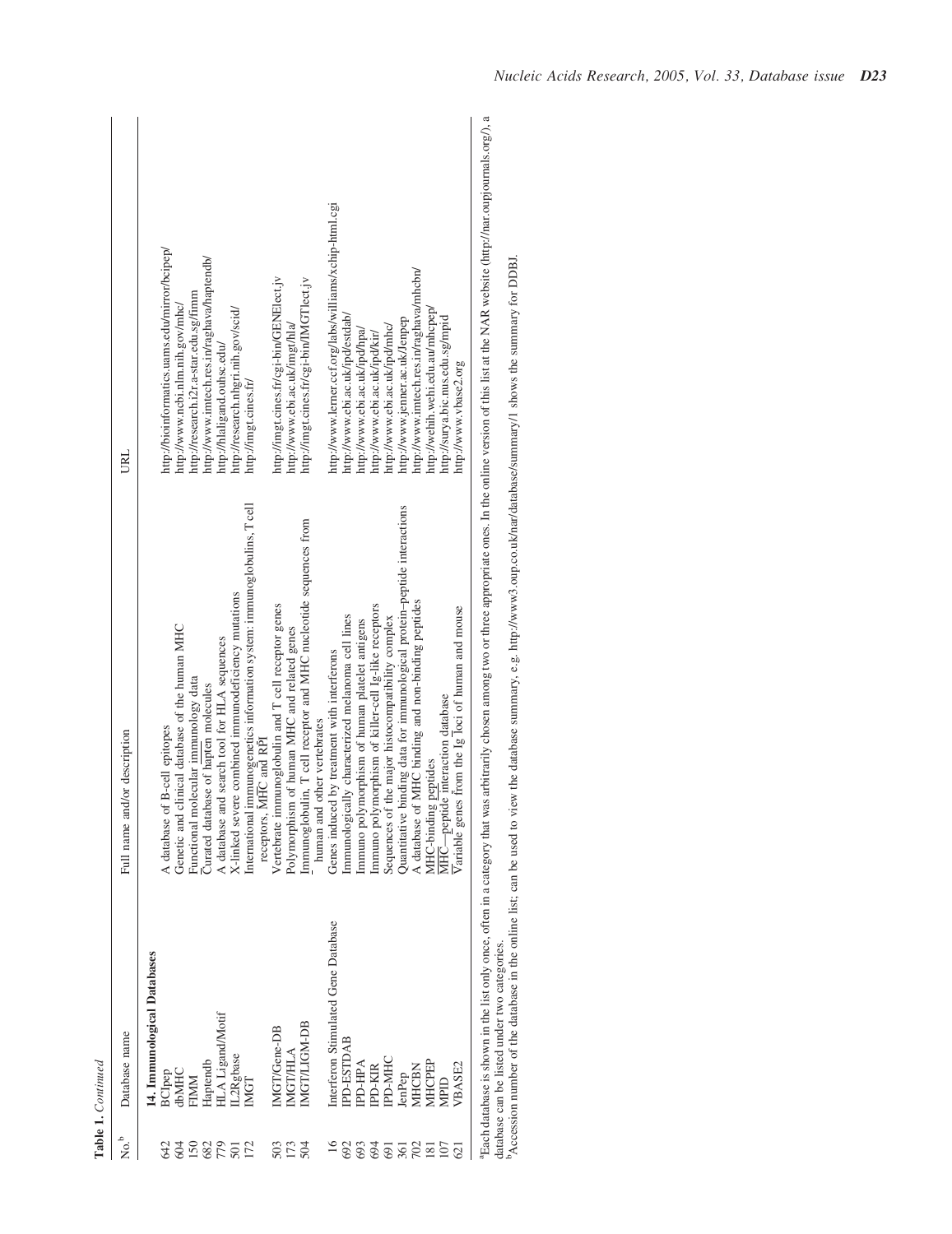|                 | <b>Table 1.</b> Continued           |                                                                                                                                                                                                                         |                                                        |
|-----------------|-------------------------------------|-------------------------------------------------------------------------------------------------------------------------------------------------------------------------------------------------------------------------|--------------------------------------------------------|
| Na <sup>b</sup> | Database name                       | Full name and/or description                                                                                                                                                                                            | URL                                                    |
|                 | 14. Immunological Databases         |                                                                                                                                                                                                                         |                                                        |
| 642             | BCIpep                              | A database of B-cell epitopes                                                                                                                                                                                           | http://bioinformatics.uams.edu/mirror/bcipep/          |
| 604             | dbMHC                               | clinical database of the human MHC<br>Genetic and                                                                                                                                                                       | http://www.ncbi.nlm.nih.gov/mhc/                       |
| 150             | FIMM                                | Functional molecular immunology data                                                                                                                                                                                    | http://research.i2r.a-star.edu.sg/fimm                 |
| 682             | Haptendb                            | Curated database of hapten molecules                                                                                                                                                                                    | http://www.imtech.res.in/raghava/haptendb/             |
| 779             | <b>HLA Ligand/Motif</b>             | A database and search tool for HLA sequences                                                                                                                                                                            | http://hlaligand.ouhsc.edu/                            |
|                 | L2Rgbase                            | X-linked severe combined immunodeficiency mutations                                                                                                                                                                     | http://research.nhgri.nih.gov/scid/                    |
| 172             | <b>IMGT</b>                         | International immunogenetics information system: immunoglobulins, T cell<br>MHC and RPI<br>receptors.                                                                                                                   | http://imgt.cines.fr/                                  |
| 503             | <b>IMGT/Gene-DB</b>                 | Vertebrate immunoglobulin and T cell receptor genes                                                                                                                                                                     | http://imgt.cines.fr/cgi-bin/GENElect.jv               |
| 173             | MGT/HLA                             | Polymorphism of human MHC and related genes                                                                                                                                                                             | http://www.ebi.ac.uk/imgt/hla/                         |
| 504             | <b>IMGT/LIGM-DB</b>                 | Immunoglobulin, T cell receptor and MHC nucleotide sequences from<br>human and other vertebrates                                                                                                                        | http://imgt.cines.fr/cgi-bin/IMGTlect.jv               |
|                 |                                     |                                                                                                                                                                                                                         |                                                        |
|                 | Interferon Stimulated Gene Database | Genes induced by treatment with interferons                                                                                                                                                                             | http://www.lerner.ccf.org/labs/williams/xchip-html.cgi |
| 692             | PD-ESTDAB                           | Immunologically characterized melanoma cell lines                                                                                                                                                                       | http://www.ebi.ac.uk/ipd/estdab/                       |
| 693             | PD-HPA                              | Immuno polymorphism of human platelet antigens                                                                                                                                                                          | http://www.ebi.ac.uk/ipd/hpa/                          |
| 694             | PD-KIR                              | Immuno polymorphism of killer-cell Ig-like receptors                                                                                                                                                                    | http://www.ebi.ac.uk/ipd/kir/                          |
| 691             | PD-MHC                              | Sequences of the major histocompatibility complex                                                                                                                                                                       | http://www.ebi.ac.uk/ipd/mhc/                          |
| 361             | JenPep                              | Quantitative binding data for immunological protein-peptide interactions                                                                                                                                                | http://www.jenner.ac.uk/Jenpep                         |
| 702             | <b>MHCBN</b>                        | A database of MHC binding and non-binding peptides                                                                                                                                                                      | http://www.imtech.res.in/raghava/mhcbn/                |
| 181             | <b>MHCPEP</b>                       | MHC-binding peptides                                                                                                                                                                                                    | http://wehih.wehi.edu.au/mhcpep/                       |
| 107             | <b>MPID</b>                         | MHC-peptide interaction database                                                                                                                                                                                        | http://surya.bic.nus.edu.sg/mpid                       |
| 621             | VBASE2                              | Variable genes from the Ig loci of human and mouse                                                                                                                                                                      | http://www.vbase2.org                                  |
|                 |                                     | angular alterations are the list only once, often in a category that was arbitrarily chosen among two or three appropriate ones. In the online version of this list at the NAR website (http://nar.oupjournals.org/), a |                                                        |

Learn unanolates as shown in the list of the online list; can be used to view the database summary, e.g. http://www3.oup.co.uk/nar/database/summary/l shows the summary for DDBI.<br><sup>B</sup>Accession number of the database in the database can be listed under two categories.  $\frac{1}{6}$ 

bAccession number of the database in the online list; can be used to view the database summary, e.g. <http://>www3.oup.co.uk/nar/database/summary/1 shows the summary for DDBJ.